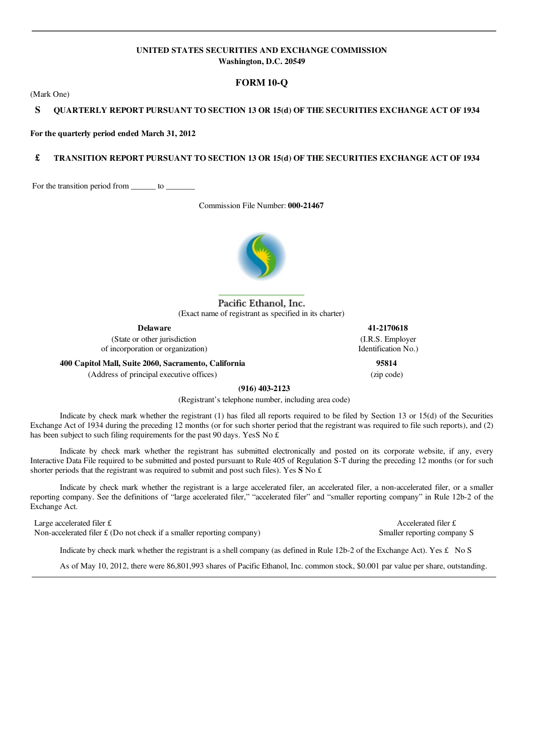## UNITED STATES SECURITIES AND EXCHANGE COMMISSION Washington, D.C. 20549

## FORM 10-Q

(Mark One)

## S QUARTERLY REPORT PURSUANT TO SECTION 13 OR 15(d) OF THE SECURITIES EXCHANGE ACT OF 1934

For the quarterly period ended March 31, 2012

#### £ TRANSITION REPORT PURSUANT TO SECTION 13 OR 15(d) OF THE SECURITIES EXCHANGE ACT OF 1934

For the transition period from to

Commission File Number: 000-21467



Pacific Ethanol, Inc. (Exact name of registrant as specified in its charter)

Delaware

(State or other jurisdiction of incorporation or organization)

400 Capitol Mall, Suite 2060, Sacramento, California

(Address of principal executive offices)

(916) 403-2123

(Registrant's telephone number, including area code)

Indicate by check mark whether the registrant (1) has filed all reports required to be filed by Section 13 or 15(d) of the Securities Exchange Act of 1934 during the preceding 12 months (or for such shorter period that the registrant was required to file such reports), and (2) has been subject to such filing requirements for the past 90 days. YesS No £

Indicate by check mark whether the registrant has submitted electronically and posted on its corporate website, if any, every Interactive Data File required to be submitted and posted pursuant to Rule 405 of Regulation S-T during the preceding 12 months (or for such shorter periods that the registrant was required to submit and post such files). Yes  $S \text{ No } \mathcal{E}$ 

Indicate by check mark whether the registrant is a large accelerated filer, an accelerated filer, a non-accelerated filer, or a smaller reporting company. See the definitions of "large accelerated filer," "accelerated filer" and "smaller reporting company" in Rule 12b-2 of the Exchange Act.

Large accelerated filer £ Accelerated filer £

Non-accelerated filer £ (Do not check if a smaller reporting company) Smaller reporting company S

Indicate by check mark whether the registrant is a shell company (as defined in Rule 12b-2 of the Exchange Act). Yes  $\pounds$  No S

As of May 10, 2012, there were 86,801,993 shares of Pacific Ethanol, Inc. common stock, \$0.001 par value per share, outstanding.

41-2170618 (I.R.S. Employer Identification No.)

> 95814 (zip code)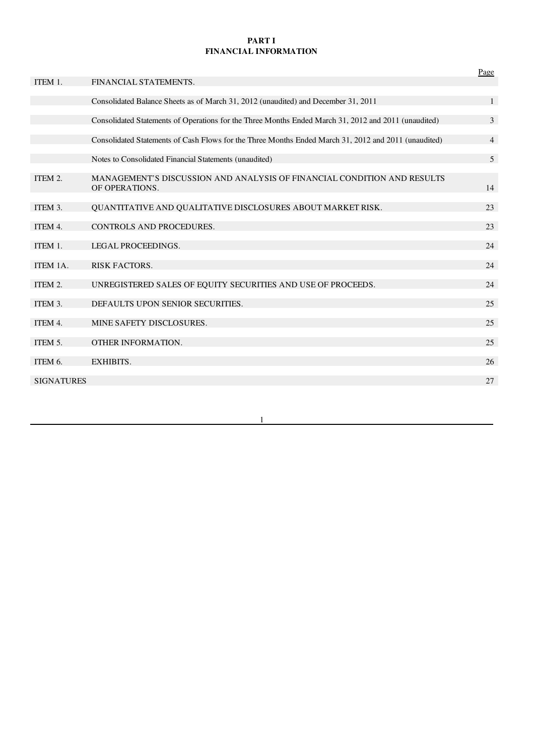# PART I FINANCIAL INFORMATION

| ITEM 1.           | FINANCIAL STATEMENTS.                                                                                | Page           |
|-------------------|------------------------------------------------------------------------------------------------------|----------------|
|                   | Consolidated Balance Sheets as of March 31, 2012 (unaudited) and December 31, 2011                   | $\mathbf{1}$   |
|                   |                                                                                                      |                |
|                   | Consolidated Statements of Operations for the Three Months Ended March 31, 2012 and 2011 (unaudited) | 3              |
|                   | Consolidated Statements of Cash Flows for the Three Months Ended March 31, 2012 and 2011 (unaudited) | $\overline{4}$ |
|                   | Notes to Consolidated Financial Statements (unaudited)                                               | 5              |
| ITEM 2.           | MANAGEMENT'S DISCUSSION AND ANALYSIS OF FINANCIAL CONDITION AND RESULTS<br>OF OPERATIONS.            | 14             |
| ITEM 3.           | QUANTITATIVE AND QUALITATIVE DISCLOSURES ABOUT MARKET RISK.                                          | 23             |
| ITEM 4.           | CONTROLS AND PROCEDURES.                                                                             | 23             |
| ITEM 1.           | LEGAL PROCEEDINGS.                                                                                   | 24             |
| ITEM 1A.          | <b>RISK FACTORS.</b>                                                                                 | 24             |
| ITEM 2.           | UNREGISTERED SALES OF EQUITY SECURITIES AND USE OF PROCEEDS.                                         | 24             |
| ITEM 3.           | DEFAULTS UPON SENIOR SECURITIES.                                                                     | 25             |
| ITEM 4.           | MINE SAFETY DISCLOSURES.                                                                             | 25             |
| ITEM 5.           | OTHER INFORMATION.                                                                                   | 25             |
| ITEM 6.           | <b>EXHIBITS.</b>                                                                                     | 26             |
| <b>SIGNATURES</b> |                                                                                                      | 27             |

1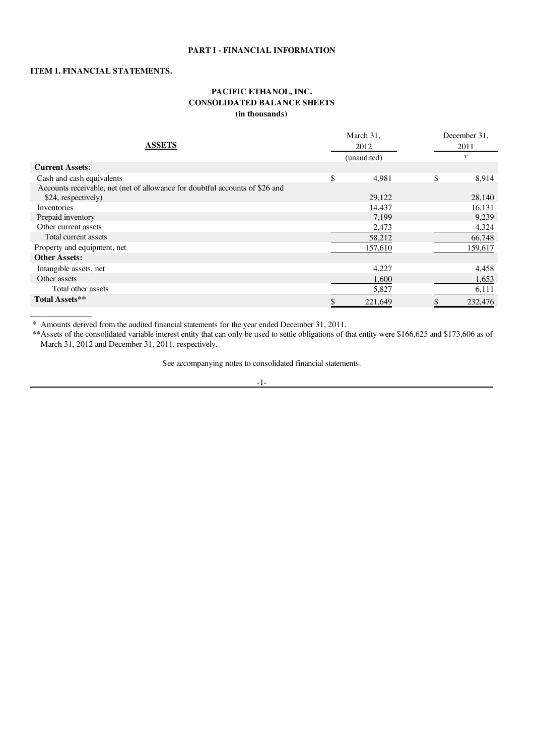## PART I - FINANCIAL INFORMATION

## ITEM 1. FINANCIAL STATEMENTS.

 $\overline{\phantom{a}}$  , we can also the contract of  $\overline{\phantom{a}}$ 

## PACIFIC ETHANOL, INC. CONSOLIDATED BALANCE SHEETS (in thousands)

| <b>ASSETS</b>                                                                |    | March 31,<br>2012 | December 31,<br>2011 |  |  |
|------------------------------------------------------------------------------|----|-------------------|----------------------|--|--|
|                                                                              |    | (unaudited)       | $\ast$               |  |  |
| <b>Current Assets:</b>                                                       |    |                   |                      |  |  |
| Cash and cash equivalents                                                    | \$ | 4,981             | \$<br>8,914          |  |  |
| Accounts receivable, net (net of allowance for doubtful accounts of \$26 and |    |                   |                      |  |  |
| \$24, respectively)                                                          |    | 29,122            | 28,140               |  |  |
| Inventories                                                                  |    | 14,437            | 16,131               |  |  |
| Prepaid inventory                                                            |    | 7,199             | 9,239                |  |  |
| Other current assets                                                         |    | 2,473             | 4,324                |  |  |
| Total current assets                                                         |    | 58,212            | 66,748               |  |  |
| Property and equipment, net                                                  |    | 157,610           | 159,617              |  |  |
| <b>Other Assets:</b>                                                         |    |                   |                      |  |  |
| Intangible assets, net                                                       |    | 4,227             | 4,458                |  |  |
| Other assets                                                                 |    | 1,600             | 1,653                |  |  |
| Total other assets                                                           |    | 5,827             | 6,111                |  |  |
| <b>Total Assets**</b>                                                        |    | 221,649           | 232,476              |  |  |

\* Amounts derived from the audited financial statements for the year ended December 31, 2011.

\*\*Assets of the consolidated variable interest entity that can only be used to settle obligations of that entity were \$166,625 and \$173,606 as of March 31, 2012 and December 31, 2011, respectively.

See accompanying notes to consolidated financial statements.

-1-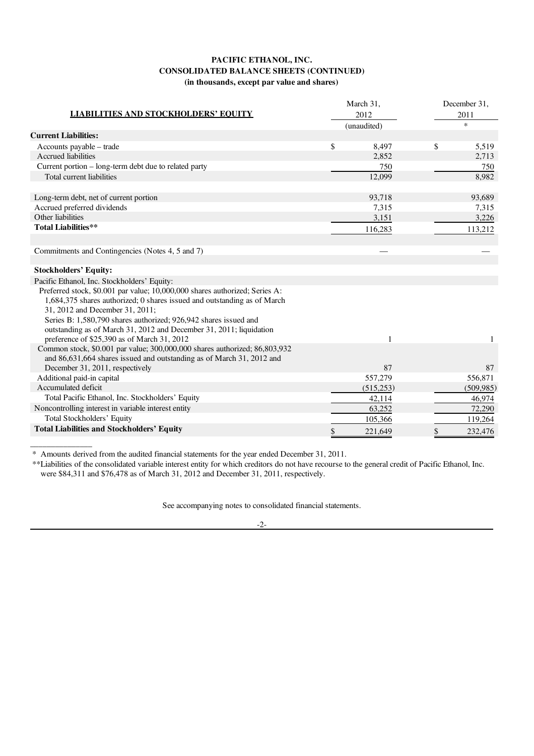# PACIFIC ETHANOL, INC. CONSOLIDATED BALANCE SHEETS (CONTINUED) (in thousands, except par value and shares)

|                                                                                                                                                                                                                                                                                                                                       |    | March 31,           | December 31, |                |  |
|---------------------------------------------------------------------------------------------------------------------------------------------------------------------------------------------------------------------------------------------------------------------------------------------------------------------------------------|----|---------------------|--------------|----------------|--|
| <b>LIABILITIES AND STOCKHOLDERS' EQUITY</b>                                                                                                                                                                                                                                                                                           |    | 2012<br>(unaudited) |              | 2011<br>$\ast$ |  |
| <b>Current Liabilities:</b>                                                                                                                                                                                                                                                                                                           |    |                     |              |                |  |
| Accounts payable – trade                                                                                                                                                                                                                                                                                                              | \$ | 8,497               | \$           | 5,519          |  |
| <b>Accrued liabilities</b>                                                                                                                                                                                                                                                                                                            |    | 2,852               |              | 2,713          |  |
| Current portion - long-term debt due to related party                                                                                                                                                                                                                                                                                 |    | 750                 |              | 750            |  |
| Total current liabilities                                                                                                                                                                                                                                                                                                             |    | 12,099              |              | 8,982          |  |
| Long-term debt, net of current portion                                                                                                                                                                                                                                                                                                |    | 93,718              |              | 93,689         |  |
| Accrued preferred dividends                                                                                                                                                                                                                                                                                                           |    | 7,315               |              | 7,315          |  |
| Other liabilities                                                                                                                                                                                                                                                                                                                     |    | 3,151               |              | 3,226          |  |
| <b>Total Liabilities**</b>                                                                                                                                                                                                                                                                                                            |    | 116,283             |              | 113,212        |  |
| Commitments and Contingencies (Notes 4, 5 and 7)                                                                                                                                                                                                                                                                                      |    |                     |              |                |  |
| <b>Stockholders' Equity:</b>                                                                                                                                                                                                                                                                                                          |    |                     |              |                |  |
| Pacific Ethanol, Inc. Stockholders' Equity:                                                                                                                                                                                                                                                                                           |    |                     |              |                |  |
| Preferred stock, \$0.001 par value; 10,000,000 shares authorized; Series A:<br>1,684,375 shares authorized; 0 shares issued and outstanding as of March<br>31, 2012 and December 31, 2011;<br>Series B: 1,580,790 shares authorized; 926,942 shares issued and<br>outstanding as of March 31, 2012 and December 31, 2011; liquidation |    |                     |              |                |  |
| preference of \$25,390 as of March 31, 2012                                                                                                                                                                                                                                                                                           |    | 1                   |              | 1              |  |
| Common stock, \$0.001 par value; 300,000,000 shares authorized; 86,803,932<br>and 86,631,664 shares issued and outstanding as of March 31, 2012 and                                                                                                                                                                                   |    |                     |              |                |  |
| December 31, 2011, respectively                                                                                                                                                                                                                                                                                                       |    | 87                  |              | 87             |  |
| Additional paid-in capital                                                                                                                                                                                                                                                                                                            |    | 557,279             |              | 556,871        |  |
| Accumulated deficit                                                                                                                                                                                                                                                                                                                   |    | (515, 253)          |              | (509, 985)     |  |
| Total Pacific Ethanol, Inc. Stockholders' Equity                                                                                                                                                                                                                                                                                      |    | 42,114              |              | 46,974         |  |
| Noncontrolling interest in variable interest entity                                                                                                                                                                                                                                                                                   |    | 63,252              |              | 72,290         |  |
| <b>Total Stockholders' Equity</b>                                                                                                                                                                                                                                                                                                     |    | 105,366             |              | 119,264        |  |
| <b>Total Liabilities and Stockholders' Equity</b>                                                                                                                                                                                                                                                                                     | S  | 221,649             | \$           | 232,476        |  |

\* Amounts derived from the audited financial statements for the year ended December 31, 2011.

 $\overline{\phantom{a}}$  , where  $\overline{\phantom{a}}$ 

\*\*Liabilities of the consolidated variable interest entity for which creditors do not have recourse to the general credit of Pacific Ethanol, Inc. were \$84,311 and \$76,478 as of March 31, 2012 and December 31, 2011, respectively.

See accompanying notes to consolidated financial statements.

## -2-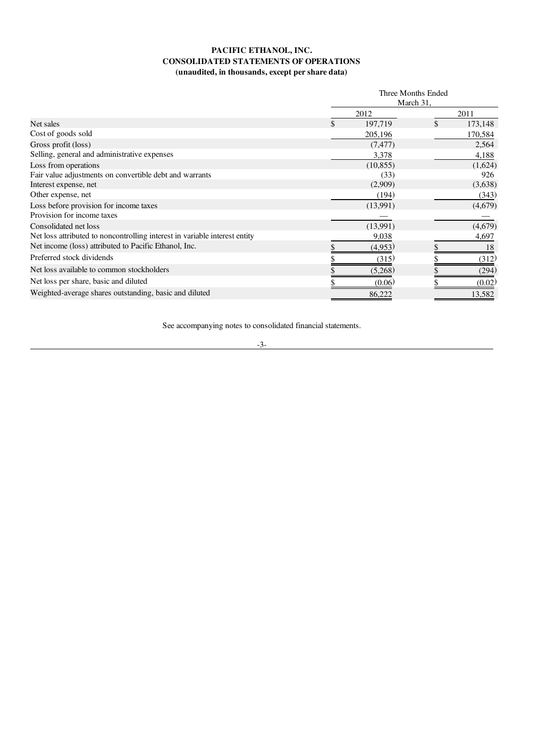## PACIFIC ETHANOL, INC. CONSOLIDATED STATEMENTS OF OPERATIONS (unaudited, in thousands, except per share data)

Three Months Ended March 31, 2012 2011 Net sales \$ 197,719 \$ 173,148 Cost of goods sold<br>
Gross profit (loss) 2,564<br>
2,564<br>
2,564<br>
2,564 Gross profit (loss) Selling, general and administrative expenses  $\frac{3,378}{(10,855)}$   $\frac{4,188}{(1,624)}$  $\cos$  from operations (10,855) (1,624) Fair value adjustments on convertible debt and warrants (33) 926<br>Interest expense, net (2,909) (3,638) Interest expense, net (2,909) (3,638)<br>Other expense, net (194) (343) Other expense, net (194) Loss before provision for income taxes  $(13,991)$   $(4,679)$ Provision for income taxes — — Consolidated net loss Net loss attributed to noncontrolling interest in variable interest entity 9,038 4,697 Net income (loss) attributed to Pacific Ethanol, Inc.  $\frac{\$}{\$}$  (4,953)  $\frac{\$}{\$}$  18 Preferred stock dividends  $\overline{\$}$  (315)  $\overline{\$}$  (312) Net loss available to common stockholders  $\overline{\$}$  (5,268)  $\overline{\$}$  (294) Net loss per share, basic and diluted  $\frac{\$}{\$}$  (0.06)  $\frac{\$}{\$}$  (0.02) Weighted-average shares outstanding, basic and diluted 86,222 13,582

See accompanying notes to consolidated financial statements.

-3-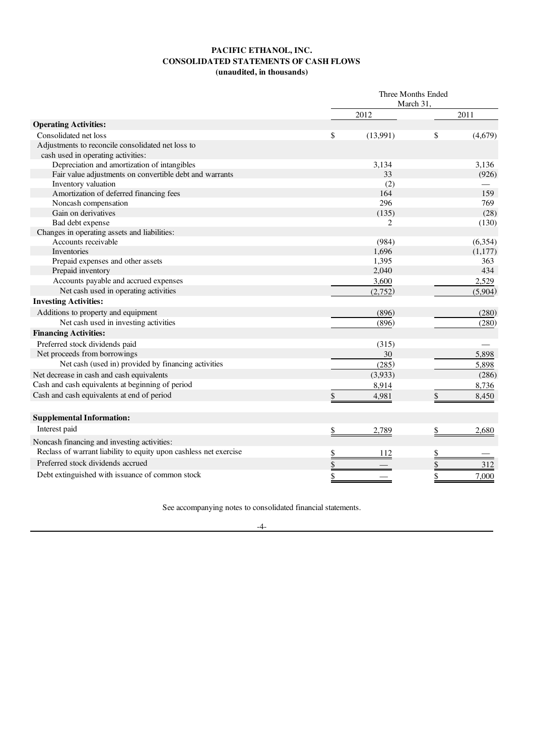## PACIFIC ETHANOL, INC. CONSOLIDATED STATEMENTS OF CASH FLOWS (unaudited, in thousands)

|                                                                   | Three Months Ended<br>March 31, |          |    |          |
|-------------------------------------------------------------------|---------------------------------|----------|----|----------|
|                                                                   |                                 | 2012     |    | 2011     |
| <b>Operating Activities:</b>                                      |                                 |          |    |          |
| Consolidated net loss                                             | \$                              | (13,991) | \$ | (4,679)  |
| Adjustments to reconcile consolidated net loss to                 |                                 |          |    |          |
| cash used in operating activities:                                |                                 |          |    |          |
| Depreciation and amortization of intangibles                      |                                 | 3,134    |    | 3,136    |
| Fair value adjustments on convertible debt and warrants           |                                 | 33       |    | (926)    |
| Inventory valuation                                               |                                 | (2)      |    |          |
| Amortization of deferred financing fees                           |                                 | 164      |    | 159      |
| Noncash compensation                                              |                                 | 296      |    | 769      |
| Gain on derivatives                                               |                                 | (135)    |    | (28)     |
| Bad debt expense                                                  |                                 | 2        |    | (130)    |
| Changes in operating assets and liabilities:                      |                                 |          |    |          |
| Accounts receivable                                               |                                 | (984)    |    | (6, 354) |
| Inventories                                                       |                                 | 1,696    |    | (1, 177) |
| Prepaid expenses and other assets                                 |                                 | 1,395    |    | 363      |
| Prepaid inventory                                                 |                                 | 2,040    |    | 434      |
| Accounts payable and accrued expenses                             |                                 | 3,600    |    | 2,529    |
| Net cash used in operating activities                             |                                 | (2,752)  |    | (5,904)  |
| <b>Investing Activities:</b>                                      |                                 |          |    |          |
| Additions to property and equipment                               |                                 | (896)    |    | (280)    |
| Net cash used in investing activities                             |                                 | (896)    |    | (280)    |
| <b>Financing Activities:</b>                                      |                                 |          |    |          |
| Preferred stock dividends paid                                    |                                 | (315)    |    |          |
| Net proceeds from borrowings                                      |                                 | 30       |    | 5,898    |
| Net cash (used in) provided by financing activities               |                                 | (285)    |    | 5,898    |
| Net decrease in cash and cash equivalents                         |                                 | (3,933)  |    | (286)    |
| Cash and cash equivalents at beginning of period                  |                                 | 8,914    |    | 8,736    |
| Cash and cash equivalents at end of period                        | \$                              |          | \$ |          |
|                                                                   |                                 | 4,981    |    | 8,450    |
| <b>Supplemental Information:</b>                                  |                                 |          |    |          |
| Interest paid                                                     | \$                              | 2,789    | \$ | 2,680    |
| Noncash financing and investing activities:                       |                                 |          |    |          |
| Reclass of warrant liability to equity upon cashless net exercise | \$                              | 112      |    |          |
| Preferred stock dividends accrued                                 |                                 |          | \$ | 312      |
| Debt extinguished with issuance of common stock                   | \$                              |          | \$ | 7,000    |

See accompanying notes to consolidated financial statements.

-4-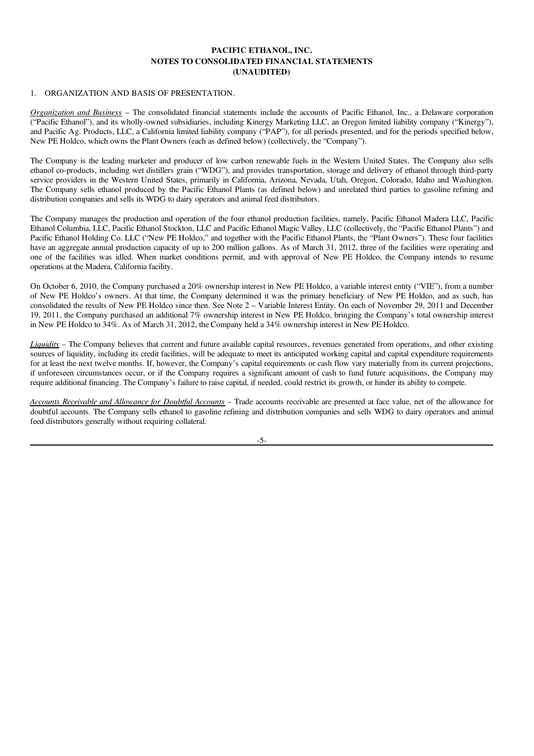## PACIFIC ETHANOL, INC. NOTES TO CONSOLIDATED FINANCIAL STATEMENTS (UNAUDITED)

## 1. ORGANIZATION AND BASIS OF PRESENTATION.

*Organization and Business* – The consolidated financial statements include the accounts of Pacific Ethanol, Inc., a Delaware corporation ("Pacific Ethanol"), and its wholly-owned subsidiaries, including Kinergy Marketing LLC, an Oregon limited liability company ("Kinergy"), and Pacific Ag. Products, LLC, a California limited liability company ("PAP"), for all periods presented, and for the periods specified below, New PE Holdco, which owns the Plant Owners (each as defined below) (collectively, the "Company").

The Company is the leading marketer and producer of low carbon renewable fuels in the Western United States. The Company also sells ethanol co-products, including wet distillers grain ("WDG"), and provides transportation, storage and delivery of ethanol through third-party service providers in the Western United States, primarily in California, Arizona, Nevada, Utah, Oregon, Colorado, Idaho and Washington. The Company sells ethanol produced by the Pacific Ethanol Plants (as defined below) and unrelated third parties to gasoline refining and distribution companies and sells its WDG to dairy operators and animal feed distributors.

The Company manages the production and operation of the four ethanol production facilities, namely, Pacific Ethanol Madera LLC, Pacific Ethanol Columbia, LLC, Pacific Ethanol Stockton, LLC and Pacific Ethanol Magic Valley, LLC (collectively, the "Pacific Ethanol Plants") and Pacific Ethanol Holding Co. LLC ("New PE Holdco," and together with the Pacific Ethanol Plants, the "Plant Owners"). These four facilities have an aggregate annual production capacity of up to 200 million gallons. As of March 31, 2012, three of the facilities were operating and one of the facilities was idled. When market conditions permit, and with approval of New PE Holdco, the Company intends to resume operations at the Madera, California facility.

On October 6, 2010, the Company purchased a 20% ownership interest in New PE Holdco, a variable interest entity ("VIE"), from a number of New PE Holdco's owners. At that time, the Company determined it was the primary beneficiary of New PE Holdco, and as such, has consolidated the results of New PE Holdco since then. See Note 2 – Variable Interest Entity. On each of November 29, 2011 and December 19, 2011, the Company purchased an additional 7% ownership interest in New PE Holdco, bringing the Company's total ownership interest in New PE Holdco to 34%. As of March 31, 2012, the Company held a 34% ownership interest in New PE Holdco.

*Liquidity* – The Company believes that current and future available capital resources, revenues generated from operations, and other existing sources of liquidity, including its credit facilities, will be adequate to meet its anticipated working capital and capital expenditure requirements for at least the next twelve months. If, however, the Company's capital requirements or cash flow vary materially from its current projections, if unforeseen circumstances occur, or if the Company requires a significant amount of cash to fund future acquisitions, the Company may require additional financing. The Company's failure to raise capital, if needed, could restrict its growth, or hinder its ability to compete.

*Accounts Receivable and Allowance for Doubtful Accounts* – Trade accounts receivable are presented at face value, net of the allowance for doubtful accounts. The Company sells ethanol to gasoline refining and distribution companies and sells WDG to dairy operators and animal feed distributors generally without requiring collateral.

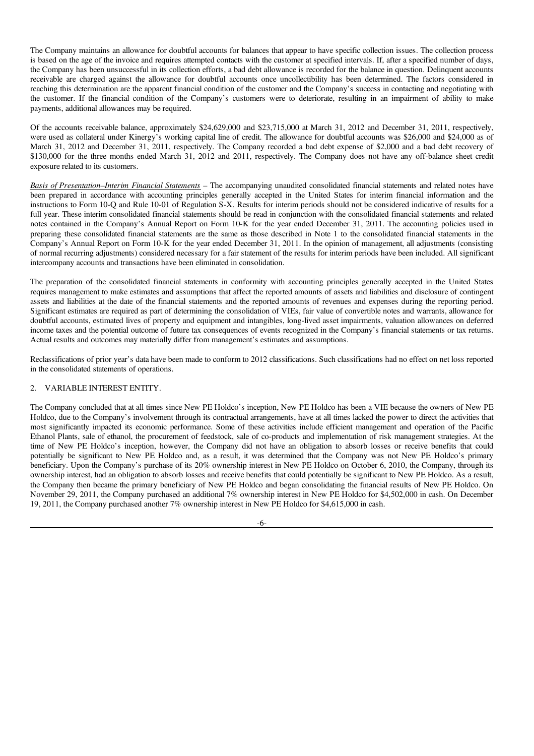The Company maintains an allowance for doubtful accounts for balances that appear to have specific collection issues. The collection process is based on the age of the invoice and requires attempted contacts with the customer at specified intervals. If, after a specified number of days, the Company has been unsuccessful in its collection efforts, a bad debt allowance is recorded for the balance in question. Delinquent accounts receivable are charged against the allowance for doubtful accounts once uncollectibility has been determined. The factors considered in reaching this determination are the apparent financial condition of the customer and the Company's success in contacting and negotiating with the customer. If the financial condition of the Company's customers were to deteriorate, resulting in an impairment of ability to make payments, additional allowances may be required.

Of the accounts receivable balance, approximately \$24,629,000 and \$23,715,000 at March 31, 2012 and December 31, 2011, respectively, were used as collateral under Kinergy's working capital line of credit. The allowance for doubtful accounts was \$26,000 and \$24,000 as of March 31, 2012 and December 31, 2011, respectively. The Company recorded a bad debt expense of \$2,000 and a bad debt recovery of \$130,000 for the three months ended March 31, 2012 and 2011, respectively. The Company does not have any off-balance sheet credit exposure related to its customers.

*Basis of Presentation*–*Interim Financial Statements* – The accompanying unaudited consolidated financial statements and related notes have been prepared in accordance with accounting principles generally accepted in the United States for interim financial information and the instructions to Form 10-Q and Rule 10-01 of Regulation S-X. Results for interim periods should not be considered indicative of results for a full year. These interim consolidated financial statements should be read in conjunction with the consolidated financial statements and related notes contained in the Company's Annual Report on Form 10-K for the year ended December 31, 2011. The accounting policies used in preparing these consolidated financial statements are the same as those described in Note 1 to the consolidated financial statements in the Company's Annual Report on Form 10-K for the year ended December 31, 2011. In the opinion of management, all adjustments (consisting of normal recurring adjustments) considered necessary for a fair statement of the results for interim periods have been included. All significant intercompany accounts and transactions have been eliminated in consolidation.

The preparation of the consolidated financial statements in conformity with accounting principles generally accepted in the United States requires management to make estimates and assumptions that affect the reported amounts of assets and liabilities and disclosure of contingent assets and liabilities at the date of the financial statements and the reported amounts of revenues and expenses during the reporting period. Significant estimates are required as part of determining the consolidation of VIEs, fair value of convertible notes and warrants, allowance for doubtful accounts, estimated lives of property and equipment and intangibles, long-lived asset impairments, valuation allowances on deferred income taxes and the potential outcome of future tax consequences of events recognized in the Company's financial statements or tax returns. Actual results and outcomes may materially differ from management's estimates and assumptions.

Reclassifications of prior year's data have been made to conform to 2012 classifications. Such classifications had no effect on net loss reported in the consolidated statements of operations.

## 2. VARIABLE INTEREST ENTITY.

The Company concluded that at all times since New PE Holdco's inception, New PE Holdco has been a VIE because the owners of New PE Holdco, due to the Company's involvement through its contractual arrangements, have at all times lacked the power to direct the activities that most significantly impacted its economic performance. Some of these activities include efficient management and operation of the Pacific Ethanol Plants, sale of ethanol, the procurement of feedstock, sale of co-products and implementation of risk management strategies. At the time of New PE Holdco's inception, however, the Company did not have an obligation to absorb losses or receive benefits that could potentially be significant to New PE Holdco and, as a result, it was determined that the Company was not New PE Holdco's primary beneficiary. Upon the Company's purchase of its 20% ownership interest in New PE Holdco on October 6, 2010, the Company, through its ownership interest, had an obligation to absorb losses and receive benefits that could potentially be significant to New PE Holdco. As a result, the Company then became the primary beneficiary of New PE Holdco and began consolidating the financial results of New PE Holdco. On November 29, 2011, the Company purchased an additional 7% ownership interest in New PE Holdco for \$4,502,000 in cash. On December 19, 2011, the Company purchased another 7% ownership interest in New PE Holdco for \$4,615,000 in cash.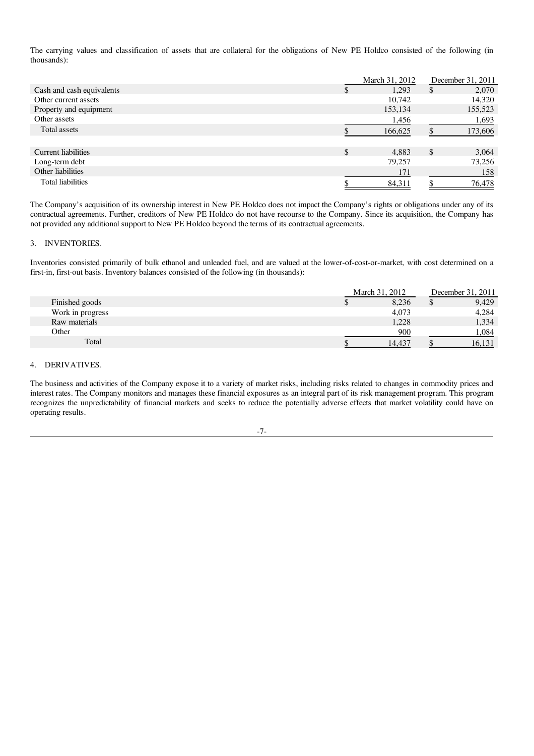The carrying values and classification of assets that are collateral for the obligations of New PE Holdco consisted of the following (in thousands):

|                            | March 31, 2012 | December 31, 2011 |
|----------------------------|----------------|-------------------|
| Cash and cash equivalents  | 1,293          | \$<br>2,070       |
| Other current assets       | 10,742         | 14,320            |
| Property and equipment     | 153,134        | 155,523           |
| Other assets               | 1,456          | 1,693             |
| Total assets               | 166,625        | 173,606           |
|                            |                |                   |
| <b>Current liabilities</b> | \$<br>4,883    | \$<br>3,064       |
| Long-term debt             | 79,257         | 73,256            |
| Other liabilities          | 171            | 158               |
| <b>Total liabilities</b>   | 84,311         | 76,478            |

The Company's acquisition of its ownership interest in New PE Holdco does not impact the Company's rights or obligations under any of its contractual agreements. Further, creditors of New PE Holdco do not have recourse to the Company. Since its acquisition, the Company has not provided any additional support to New PE Holdco beyond the terms of its contractual agreements.

#### 3. INVENTORIES.

Inventories consisted primarily of bulk ethanol and unleaded fuel, and are valued at the lower-of-cost-or-market, with cost determined on a first-in, first-out basis. Inventory balances consisted of the following (in thousands):

|                  | March 31, 2012 |   | December 31, 2011 |
|------------------|----------------|---|-------------------|
| Finished goods   | 8.236          | ◡ | 9,429             |
| Work in progress | 4.073          |   | 4,284             |
| Raw materials    | 1,228          |   | 1,334             |
| Other            | 900            |   | .084              |
| Total            | 14.437         |   | 16.131            |

#### 4. DERIVATIVES.

The business and activities of the Company expose it to a variety of market risks, including risks related to changes in commodity prices and interest rates. The Company monitors and manages these financial exposures as an integral part of its risk management program. This program recognizes the unpredictability of financial markets and seeks to reduce the potentially adverse effects that market volatility could have on operating results.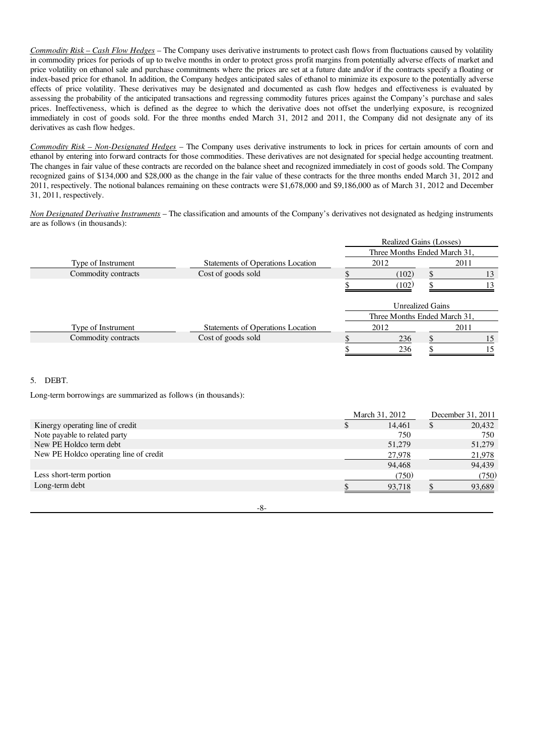*Commodity Risk* – *Cash Flow Hedges* – The Company uses derivative instruments to protect cash flows from fluctuations caused by volatility in commodity prices for periods of up to twelve months in order to protect gross profit margins from potentially adverse effects of market and price volatility on ethanol sale and purchase commitments where the prices are set at a future date and/or if the contracts specify a floating or index-based price for ethanol. In addition, the Company hedges anticipated sales of ethanol to minimize its exposure to the potentially adverse effects of price volatility. These derivatives may be designated and documented as cash flow hedges and effectiveness is evaluated by assessing the probability of the anticipated transactions and regressing commodity futures prices against the Company's purchase and sales prices. Ineffectiveness, which is defined as the degree to which the derivative does not offset the underlying exposure, is recognized immediately in cost of goods sold. For the three months ended March 31, 2012 and 2011, the Company did not designate any of its derivatives as cash flow hedges.

*Commodity Risk – Non-Designated Hedges* – The Company uses derivative instruments to lock in prices for certain amounts of corn and ethanol by entering into forward contracts for those commodities. These derivatives are not designated for special hedge accounting treatment. The changes in fair value of these contracts are recorded on the balance sheet and recognized immediately in cost of goods sold. The Company recognized gains of \$134,000 and \$28,000 as the change in the fair value of these contracts for the three months ended March 31, 2012 and 2011, respectively. The notional balances remaining on these contracts were \$1,678,000 and \$9,186,000 as of March 31, 2012 and December 31, 2011, respectively.

*Non Designated Derivative Instruments* – The classification and amounts of the Company's derivatives not designated as hedging instruments are as follows (in thousands):

|                     |                                   | Realized Gains (Losses) |                              |                         |      |
|---------------------|-----------------------------------|-------------------------|------------------------------|-------------------------|------|
|                     |                                   |                         | Three Months Ended March 31, |                         |      |
| Type of Instrument  | Statements of Operations Location |                         | 2012                         |                         | 2011 |
| Commodity contracts | Cost of goods sold                |                         | (102)                        |                         |      |
|                     |                                   |                         | (102)                        |                         |      |
|                     |                                   |                         |                              | <b>Unrealized Gains</b> |      |
|                     |                                   |                         | Three Months Ended March 31, |                         |      |
| Type of Instrument  | Statements of Operations Location |                         | 2012                         |                         | 2011 |
| Commodity contracts | Cost of goods sold                |                         | 236                          |                         |      |
|                     |                                   |                         | 236                          |                         | l 5  |

### 5. DEBT.

Long-term borrowings are summarized as follows (in thousands):

|                                        | March 31, 2012 |        |  | December 31, 2011 |  |  |
|----------------------------------------|----------------|--------|--|-------------------|--|--|
| Kinergy operating line of credit       |                | 14.461 |  | 20,432            |  |  |
| Note payable to related party          |                | 750    |  | 750               |  |  |
| New PE Holdco term debt                |                | 51,279 |  | 51,279            |  |  |
| New PE Holdco operating line of credit |                | 27,978 |  | 21,978            |  |  |
|                                        |                | 94.468 |  | 94.439            |  |  |
| Less short-term portion                |                | (750)  |  | (750)             |  |  |
| Long-term debt                         |                | 93.718 |  | 93,689            |  |  |

-8-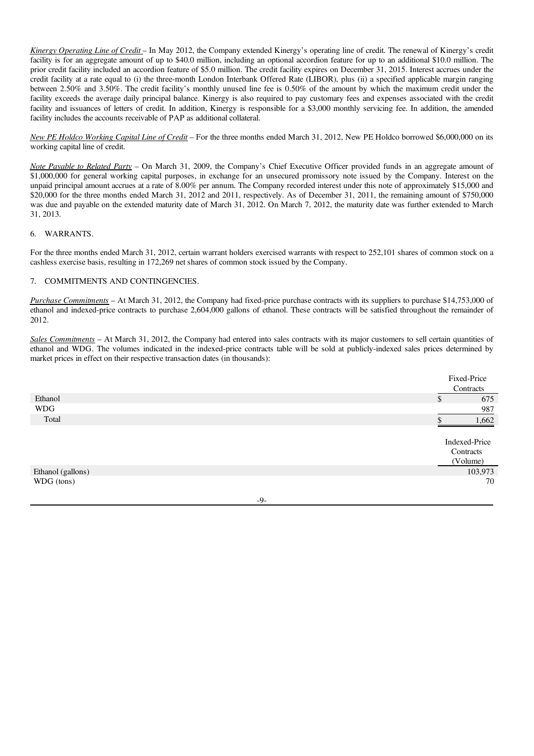*Kinergy Operating Line of Credit* – In May 2012, the Company extended Kinergy's operating line of credit. The renewal of Kinergy's credit facility is for an aggregate amount of up to \$40.0 million, including an optional accordion feature for up to an additional \$10.0 million. The prior credit facility included an accordion feature of \$5.0 million. The credit facility expires on December 31, 2015. Interest accrues under the credit facility at a rate equal to (i) the three-month London Interbank Offered Rate (LIBOR), plus (ii) a specified applicable margin ranging between 2.50% and 3.50%. The credit facility's monthly unused line fee is 0.50% of the amount by which the maximum credit under the facility exceeds the average daily principal balance. Kinergy is also required to pay customary fees and expenses associated with the credit facility and issuances of letters of credit. In addition, Kinergy is responsible for a \$3,000 monthly servicing fee. In addition, the amended facility includes the accounts receivable of PAP as additional collateral.

*New PE Holdco Working Capital Line of Credit* – For the three months ended March 31, 2012, New PE Holdco borrowed \$6,000,000 on its working capital line of credit.

*Note Payable to Related Party* – On March 31, 2009, the Company's Chief Executive Officer provided funds in an aggregate amount of \$1,000,000 for general working capital purposes, in exchange for an unsecured promissory note issued by the Company. Interest on the unpaid principal amount accrues at a rate of 8.00% per annum. The Company recorded interest under this note of approximately \$15,000 and \$20,000 for the three months ended March 31, 2012 and 2011, respectively. As of December 31, 2011, the remaining amount of \$750,000 was due and payable on the extended maturity date of March 31, 2012. On March 7, 2012, the maturity date was further extended to March 31, 2013.

### 6. WARRANTS.

For the three months ended March 31, 2012, certain warrant holders exercised warrants with respect to 252,101 shares of common stock on a cashless exercise basis, resulting in 172,269 net shares of common stock issued by the Company.

#### 7. COMMITMENTS AND CONTINGENCIES.

*Purchase Commitments* – At March 31, 2012, the Company had fixed-price purchase contracts with its suppliers to purchase \$14,753,000 of ethanol and indexed-price contracts to purchase 2,604,000 gallons of ethanol. These contracts will be satisfied throughout the remainder of 2012.

*Sales Commitments* – At March 31, 2012, the Company had entered into sales contracts with its major customers to sell certain quantities of ethanol and WDG. The volumes indicated in the indexed-price contracts table will be sold at publicly-indexed sales prices determined by market prices in effect on their respective transaction dates (in thousands):

|                   | Fixed-Price   |
|-------------------|---------------|
|                   | Contracts     |
| Ethanol           | 675           |
| <b>WDG</b>        | 987           |
| Total             | 1,662         |
|                   |               |
|                   | Indexed-Price |
|                   | Contracts     |
|                   | (Volume)      |
| Ethanol (gallons) | 103,973       |
| WDG (tons)        | 70            |
|                   |               |

 $-9$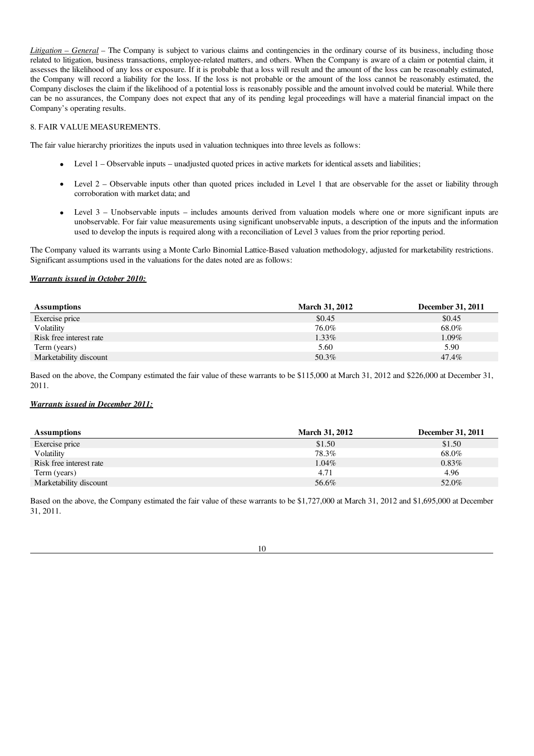*Litigation* – *General* – The Company is subject to various claims and contingencies in the ordinary course of its business, including those related to litigation, business transactions, employee-related matters, and others. When the Company is aware of a claim or potential claim, it assesses the likelihood of any loss or exposure. If it is probable that a loss will result and the amount of the loss can be reasonably estimated, the Company will record a liability for the loss. If the loss is not probable or the amount of the loss cannot be reasonably estimated, the Company discloses the claim if the likelihood of a potential loss is reasonably possible and the amount involved could be material. While there can be no assurances, the Company does not expect that any of its pending legal proceedings will have a material financial impact on the Company's operating results.

## 8. FAIR VALUE MEASUREMENTS.

The fair value hierarchy prioritizes the inputs used in valuation techniques into three levels as follows:

- Level 1 Observable inputs unadjusted quoted prices in active markets for identical assets and liabilities;
- Level 2 Observable inputs other than quoted prices included in Level 1 that are observable for the asset or liability through corroboration with market data; and
- Level  $3$  Unobservable inputs includes amounts derived from valuation models where one or more significant inputs are unobservable. For fair value measurements using significant unobservable inputs, a description of the inputs and the information used to develop the inputs is required along with a reconciliation of Level 3 values from the prior reporting period.

The Company valued its warrants using a Monte Carlo Binomial Lattice-Based valuation methodology, adjusted for marketability restrictions. Significant assumptions used in the valuations for the dates noted are as follows:

## *Warrants issued in October 2010:*

| <b>Assumptions</b>      | <b>March 31, 2012</b> | December 31, 2011 |
|-------------------------|-----------------------|-------------------|
| Exercise price          | \$0.45                | \$0.45            |
| Volatility              | 76.0%                 | 68.0%             |
| Risk free interest rate | 1.33%                 | $1.09\%$          |
| Term (years)            | 5.60                  | 5.90              |
| Marketability discount  | 50.3%                 | 47.4%             |

Based on the above, the Company estimated the fair value of these warrants to be \$115,000 at March 31, 2012 and \$226,000 at December 31, 2011.

## *Warrants issued in December 2011:*

| <b>Assumptions</b>      | <b>March 31, 2012</b> | December 31, 2011 |
|-------------------------|-----------------------|-------------------|
| Exercise price          | \$1.50                | \$1.50            |
| Volatility              | 78.3%                 | 68.0%             |
| Risk free interest rate | 1.04%                 | $0.83\%$          |
| Term (years)            | 4.71                  | 4.96              |
| Marketability discount  | 56.6%                 | 52.0%             |

Based on the above, the Company estimated the fair value of these warrants to be \$1,727,000 at March 31, 2012 and \$1,695,000 at December 31, 2011.

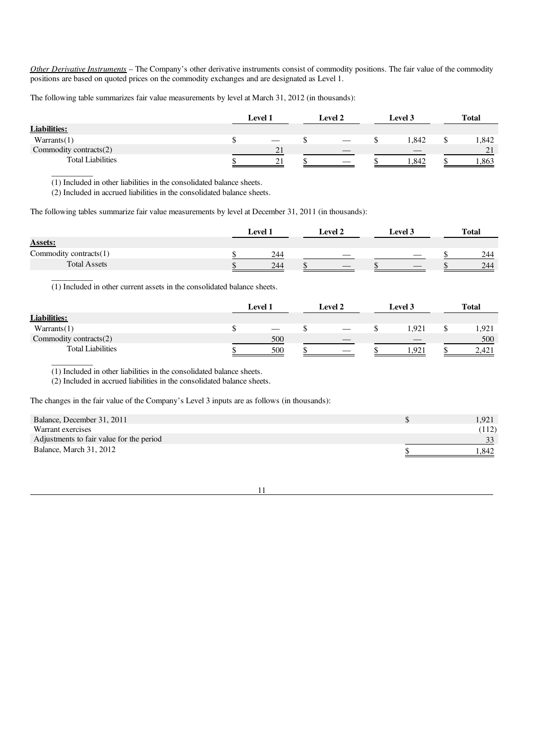*Other Derivative Instruments* – The Company's other derivative instruments consist of commodity positions. The fair value of the commodity positions are based on quoted prices on the commodity exchanges and are designated as Level 1.

The following table summarizes fair value measurements by level at March 31, 2012 (in thousands):

|                          | Level 1    | <b>Level 2</b>                            | Level 3 | <b>Total</b> |
|--------------------------|------------|-------------------------------------------|---------|--------------|
| <b>Liabilities:</b>      |            |                                           |         |              |
| Warrants(1)              |            | $\overline{\phantom{m}}$                  | 1.842   | 1,842        |
| Commodity contracts(2)   | $\gamma$ 1 |                                           |         | 21           |
| <b>Total Liabilities</b> | 21         | $\qquad \qquad \overline{\qquad \qquad }$ | .842    | 1.863        |

\_\_\_\_\_\_\_\_\_\_ (1) Included in other liabilities in the consolidated balance sheets.

(2) Included in accrued liabilities in the consolidated balance sheets.

The following tables summarize fair value measurements by level at December 31, 2011 (in thousands):

|                           | <b>Level 1</b> |  | <b>Level 2</b>                 |  | <b>Level 3</b>                  |  | <b>Total</b> |  |
|---------------------------|----------------|--|--------------------------------|--|---------------------------------|--|--------------|--|
| <b>Assets:</b>            |                |  |                                |  |                                 |  |              |  |
| Commodity contracts $(1)$ | 244            |  |                                |  |                                 |  | 244          |  |
| <b>Total Assets</b>       | 244            |  | $\overbrace{\hspace{25mm}}^{}$ |  | $\hspace{0.1mm}-\hspace{0.1mm}$ |  | 244          |  |

(1) Included in other current assets in the consolidated balance sheets.

 $\overline{\phantom{a}}$ 

 $\overline{\phantom{a}}$ 

|                          | Level :                          |  | <b>Level 2</b>                 |  | Level 3 |  | <b>Total</b> |  |
|--------------------------|----------------------------------|--|--------------------------------|--|---------|--|--------------|--|
| <b>Liabilities:</b>      |                                  |  |                                |  |         |  |              |  |
| Warrants(1)              | $\overbrace{\phantom{aaaaa}}^{}$ |  | $\qquad \qquad -$              |  | .921    |  | 1,921        |  |
| Commodity contracts(2)   | 500                              |  |                                |  |         |  | 500          |  |
| <b>Total Liabilities</b> | 500                              |  | $\qquad \qquad \longleftarrow$ |  | .921    |  | 2.421        |  |

(1) Included in other liabilities in the consolidated balance sheets.

(2) Included in accrued liabilities in the consolidated balance sheets.

The changes in the fair value of the Company's Level 3 inputs are as follows (in thousands):

| Balance, December 31, 2011               | .921  |
|------------------------------------------|-------|
| Warrant exercises                        | (112) |
| Adjustments to fair value for the period | 33    |
| Balance, March 31, 2012                  | .842  |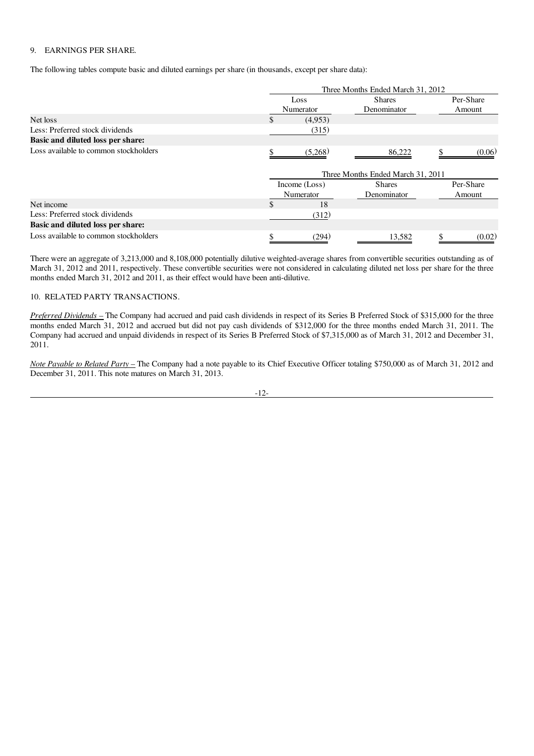## 9. EARNINGS PER SHARE.

The following tables compute basic and diluted earnings per share (in thousands, except per share data):

|                                       | Three Months Ended March 31, 2012 |               |  |           |  |  |  |  |  |  |
|---------------------------------------|-----------------------------------|---------------|--|-----------|--|--|--|--|--|--|
|                                       | Loss                              | <b>Shares</b> |  | Per-Share |  |  |  |  |  |  |
|                                       | Numerator                         | Denominator   |  | Amount    |  |  |  |  |  |  |
| Net loss                              | (4,953)                           |               |  |           |  |  |  |  |  |  |
| Less: Preferred stock dividends       | (315)                             |               |  |           |  |  |  |  |  |  |
| Basic and diluted loss per share:     |                                   |               |  |           |  |  |  |  |  |  |
| Loss available to common stockholders | (5,268)                           | 86,222        |  | (0.06)    |  |  |  |  |  |  |
|                                       | Three Months Ended March 31, 2011 |               |  |           |  |  |  |  |  |  |
|                                       | Income (Loss)                     | <b>Shares</b> |  | Per-Share |  |  |  |  |  |  |
|                                       | Numerator                         | Denominator   |  | Amount    |  |  |  |  |  |  |
| Net income                            | 18                                |               |  |           |  |  |  |  |  |  |
| Less: Preferred stock dividends       | (312)                             |               |  |           |  |  |  |  |  |  |
| Basic and diluted loss per share:     |                                   |               |  |           |  |  |  |  |  |  |
| Loss available to common stockholders | (294)                             | 13,582        |  | (0.02)    |  |  |  |  |  |  |

There were an aggregate of 3,213,000 and 8,108,000 potentially dilutive weighted-average shares from convertible securities outstanding as of March 31, 2012 and 2011, respectively. These convertible securities were not considered in calculating diluted net loss per share for the three months ended March 31, 2012 and 2011, as their effect would have been anti-dilutive.

### 10. RELATED PARTY TRANSACTIONS.

*Preferred Dividends –* The Company had accrued and paid cash dividends in respect of its Series B Preferred Stock of \$315,000 for the three months ended March 31, 2012 and accrued but did not pay cash dividends of \$312,000 for the three months ended March 31, 2011. The Company had accrued and unpaid dividends in respect of its Series B Preferred Stock of \$7,315,000 as of March 31, 2012 and December 31, 2011.

*Note Payable to Related Party –* The Company had a note payable to its Chief Executive Officer totaling \$750,000 as of March 31, 2012 and December 31, 2011. This note matures on March 31, 2013.

$$
-12-
$$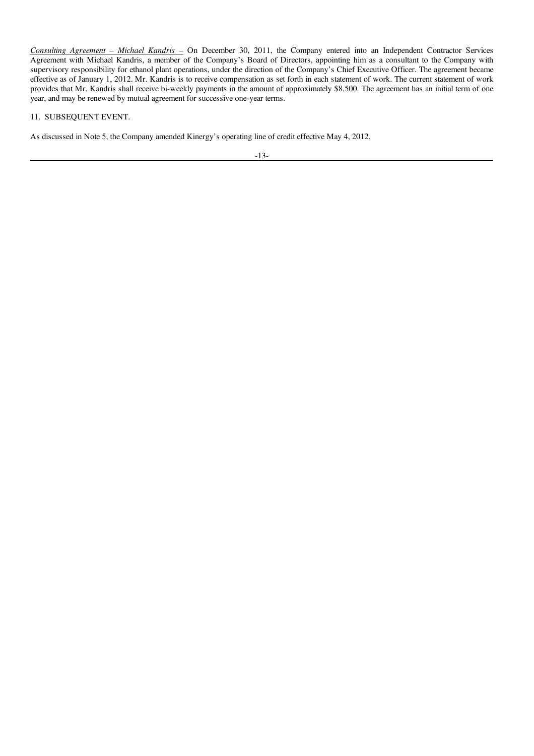*Consulting Agreement – Michael Kandris –* On December 30, 2011, the Company entered into an Independent Contractor Services Agreement with Michael Kandris, a member of the Company's Board of Directors, appointing him as a consultant to the Company with supervisory responsibility for ethanol plant operations, under the direction of the Company's Chief Executive Officer. The agreement became effective as of January 1, 2012. Mr. Kandris is to receive compensation as set forth in each statement of work. The current statement of work provides that Mr. Kandris shall receive bi-weekly payments in the amount of approximately \$8,500. The agreement has an initial term of one year, and may be renewed by mutual agreement for successive one-year terms.

## 11. SUBSEQUENT EVENT.

As discussed in Note 5, the Company amended Kinergy's operating line of credit effective May 4, 2012.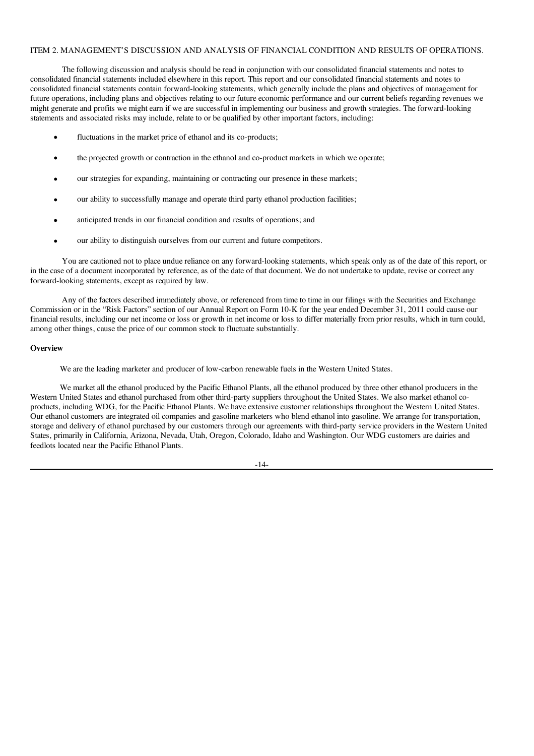#### ITEM 2. MANAGEMENT'S DISCUSSION AND ANALYSIS OF FINANCIAL CONDITION AND RESULTS OF OPERATIONS.

The following discussion and analysis should be read in conjunction with our consolidated financial statements and notes to consolidated financial statements included elsewhere in this report. This report and our consolidated financial statements and notes to consolidated financial statements contain forward-looking statements, which generally include the plans and objectives of management for future operations, including plans and objectives relating to our future economic performance and our current beliefs regarding revenues we might generate and profits we might earn if we are successful in implementing our business and growth strategies. The forward-looking statements and associated risks may include, relate to or be qualified by other important factors, including:

- fluctuations in the market price of ethanol and its co-products;
- the projected growth or contraction in the ethanol and co-product markets in which we operate;
- our strategies for expanding, maintaining or contracting our presence in these markets;
- our ability to successfully manage and operate third party ethanol production facilities;
- anticipated trends in our financial condition and results of operations; and
- · our ability to distinguish ourselves from our current and future competitors.

You are cautioned not to place undue reliance on any forward-looking statements, which speak only as of the date of this report, or in the case of a document incorporated by reference, as of the date of that document. We do not undertake to update, revise or correct any forward-looking statements, except as required by law.

Any of the factors described immediately above, or referenced from time to time in our filings with the Securities and Exchange Commission or in the "Risk Factors" section of our Annual Report on Form 10-K for the year ended December 31, 2011 could cause our financial results, including our net income or loss or growth in net income or loss to differ materially from prior results, which in turn could, among other things, cause the price of our common stock to fluctuate substantially.

## **Overview**

We are the leading marketer and producer of low-carbon renewable fuels in the Western United States.

We market all the ethanol produced by the Pacific Ethanol Plants, all the ethanol produced by three other ethanol producers in the Western United States and ethanol purchased from other third-party suppliers throughout the United States. We also market ethanol coproducts, including WDG, for the Pacific Ethanol Plants. We have extensive customer relationships throughout the Western United States. Our ethanol customers are integrated oil companies and gasoline marketers who blend ethanol into gasoline. We arrange for transportation, storage and delivery of ethanol purchased by our customers through our agreements with third-party service providers in the Western United States, primarily in California, Arizona, Nevada, Utah, Oregon, Colorado, Idaho and Washington. Our WDG customers are dairies and feedlots located near the Pacific Ethanol Plants.

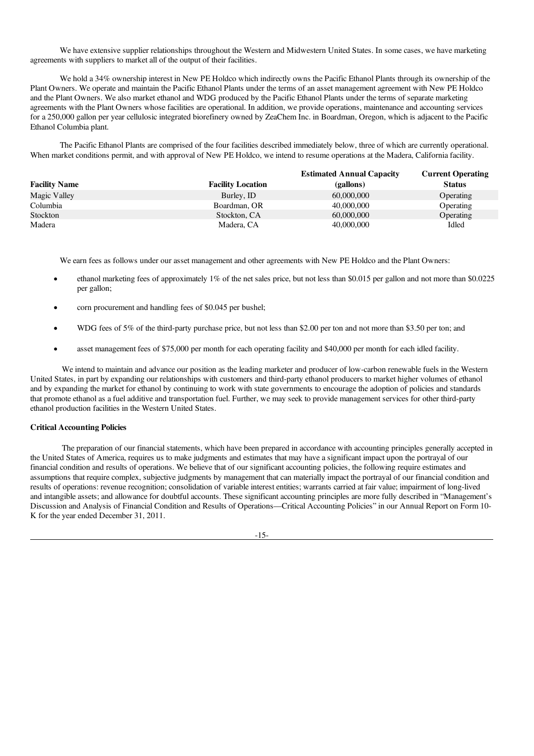We have extensive supplier relationships throughout the Western and Midwestern United States. In some cases, we have marketing agreements with suppliers to market all of the output of their facilities.

We hold a 34% ownership interest in New PE Holdco which indirectly owns the Pacific Ethanol Plants through its ownership of the Plant Owners. We operate and maintain the Pacific Ethanol Plants under the terms of an asset management agreement with New PE Holdco and the Plant Owners. We also market ethanol and WDG produced by the Pacific Ethanol Plants under the terms of separate marketing agreements with the Plant Owners whose facilities are operational. In addition, we provide operations, maintenance and accounting services for a 250,000 gallon per year cellulosic integrated biorefinery owned by ZeaChem Inc. in Boardman, Oregon, which is adjacent to the Pacific Ethanol Columbia plant.

The Pacific Ethanol Plants are comprised of the four facilities described immediately below, three of which are currently operational. When market conditions permit, and with approval of New PE Holdco, we intend to resume operations at the Madera, California facility.

|                      |                          | <b>Estimated Annual Capacity</b> | <b>Current Operating</b> |
|----------------------|--------------------------|----------------------------------|--------------------------|
| <b>Facility Name</b> | <b>Facility Location</b> | (gallons)                        | <b>Status</b>            |
| Magic Valley         | Burley, ID               | 60,000,000                       | Operating                |
| Columbia             | Boardman, OR             | 40,000,000                       | Operating                |
| Stockton             | Stockton, CA             | 60,000,000                       | Operating                |
| Madera               | Madera, CA               | 40,000,000                       | Idled                    |

We earn fees as follows under our asset management and other agreements with New PE Holdco and the Plant Owners:

- · ethanol marketing fees of approximately 1% of the net sales price, but not less than \$0.015 per gallon and not more than \$0.0225 per gallon;
- corn procurement and handling fees of \$0.045 per bushel;
- WDG fees of 5% of the third-party purchase price, but not less than \$2.00 per ton and not more than \$3.50 per ton; and
- asset management fees of \$75,000 per month for each operating facility and \$40,000 per month for each idled facility.

We intend to maintain and advance our position as the leading marketer and producer of low-carbon renewable fuels in the Western United States, in part by expanding our relationships with customers and third-party ethanol producers to market higher volumes of ethanol and by expanding the market for ethanol by continuing to work with state governments to encourage the adoption of policies and standards that promote ethanol as a fuel additive and transportation fuel. Further, we may seek to provide management services for other third-party ethanol production facilities in the Western United States.

#### Critical Accounting Policies

The preparation of our financial statements, which have been prepared in accordance with accounting principles generally accepted in the United States of America, requires us to make judgments and estimates that may have a significant impact upon the portrayal of our financial condition and results of operations. We believe that of our significant accounting policies, the following require estimates and assumptions that require complex, subjective judgments by management that can materially impact the portrayal of our financial condition and results of operations: revenue recognition; consolidation of variable interest entities; warrants carried at fair value; impairment of long-lived and intangible assets; and allowance for doubtful accounts. These significant accounting principles are more fully described in "Management's Discussion and Analysis of Financial Condition and Results of Operations—Critical Accounting Policies" in our Annual Report on Form 10- K for the year ended December 31, 2011.

-15-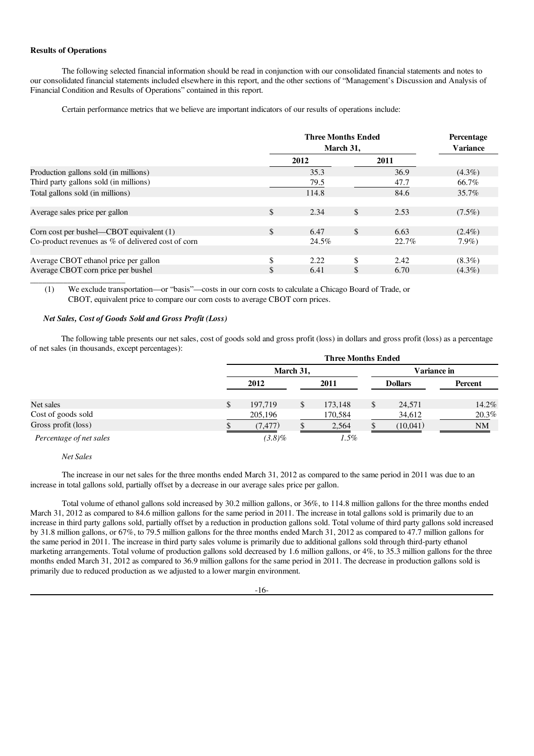#### Results of Operations

The following selected financial information should be read in conjunction with our consolidated financial statements and notes to our consolidated financial statements included elsewhere in this report, and the other sections of "Management's Discussion and Analysis of Financial Condition and Results of Operations" contained in this report.

Certain performance metrics that we believe are important indicators of our results of operations include:

|                                                    |    | Percentage<br><b>Variance</b> |            |           |
|----------------------------------------------------|----|-------------------------------|------------|-----------|
|                                                    |    | 2012                          | 2011       |           |
| Production gallons sold (in millions)              |    | 35.3                          | 36.9       | $(4.3\%)$ |
| Third party gallons sold (in millions)             |    | 79.5                          | 47.7       | 66.7%     |
| Total gallons sold (in millions)                   |    | 114.8                         | 84.6       | 35.7%     |
| Average sales price per gallon                     | \$ | 2.34                          | \$<br>2.53 | $(7.5\%)$ |
| Corn cost per bushel—CBOT equivalent (1)           | \$ | 6.47                          | \$<br>6.63 | $(2.4\%)$ |
| Co-product revenues as % of delivered cost of corn |    | 24.5%                         | 22.7%      | $7.9\%)$  |
| Average CBOT ethanol price per gallon              | \$ | 2.22                          | \$<br>2.42 | $(8.3\%)$ |
| Average CBOT corn price per bushel                 | \$ | 6.41                          | \$<br>6.70 | $(4.3\%)$ |

(1) We exclude transportation—or "basis"—costs in our corn costs to calculate a Chicago Board of Trade, or CBOT, equivalent price to compare our corn costs to average CBOT corn prices.

## *Net Sales, Cost of Goods Sold and Gross Profit (Loss)*

The following table presents our net sales, cost of goods sold and gross profit (loss) in dollars and gross profit (loss) as a percentage of net sales (in thousands, except percentages):

|                         | <b>Three Months Ended</b> |   |         |   |                |           |  |  |  |  |
|-------------------------|---------------------------|---|---------|---|----------------|-----------|--|--|--|--|
|                         | March 31,                 |   |         |   | Variance in    |           |  |  |  |  |
|                         | 2012                      |   | 2011    |   | <b>Dollars</b> | Percent   |  |  |  |  |
| Net sales               | \$<br>197,719             | S | 173,148 | S | 24,571         | 14.2%     |  |  |  |  |
| Cost of goods sold      | 205,196                   |   | 170,584 |   | 34,612         | 20.3%     |  |  |  |  |
| Gross profit (loss)     | (7.477)                   |   | 2,564   |   | (10.041)       | <b>NM</b> |  |  |  |  |
| Percentage of net sales | $(3.8)\%$                 |   | $1.5\%$ |   |                |           |  |  |  |  |

### *Net Sales*

 $\overline{\phantom{a}}$  , where the contract of the contract of the contract of the contract of the contract of the contract of the contract of the contract of the contract of the contract of the contract of the contract of the contr

The increase in our net sales for the three months ended March 31, 2012 as compared to the same period in 2011 was due to an increase in total gallons sold, partially offset by a decrease in our average sales price per gallon.

Total volume of ethanol gallons sold increased by 30.2 million gallons, or 36%, to 114.8 million gallons for the three months ended March 31, 2012 as compared to 84.6 million gallons for the same period in 2011. The increase in total gallons sold is primarily due to an increase in third party gallons sold, partially offset by a reduction in production gallons sold. Total volume of third party gallons sold increased by 31.8 million gallons, or 67%, to 79.5 million gallons for the three months ended March 31, 2012 as compared to 47.7 million gallons for the same period in 2011. The increase in third party sales volume is primarily due to additional gallons sold through third-party ethanol marketing arrangements. Total volume of production gallons sold decreased by 1.6 million gallons, or 4%, to 35.3 million gallons for the three months ended March 31, 2012 as compared to 36.9 million gallons for the same period in 2011. The decrease in production gallons sold is primarily due to reduced production as we adjusted to a lower margin environment.

-16-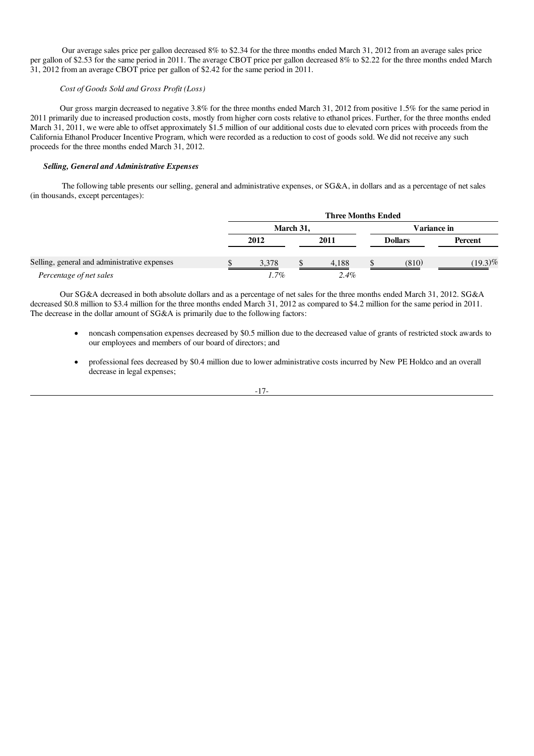Our average sales price per gallon decreased 8% to \$2.34 for the three months ended March 31, 2012 from an average sales price per gallon of \$2.53 for the same period in 2011. The average CBOT price per gallon decreased 8% to \$2.22 for the three months ended March 31, 2012 from an average CBOT price per gallon of \$2.42 for the same period in 2011.

# *Cost of Goods Sold and Gross Profit (Loss)*

Our gross margin decreased to negative 3.8% for the three months ended March 31, 2012 from positive 1.5% for the same period in 2011 primarily due to increased production costs, mostly from higher corn costs relative to ethanol prices. Further, for the three months ended March 31, 2011, we were able to offset approximately \$1.5 million of our additional costs due to elevated corn prices with proceeds from the California Ethanol Producer Incentive Program, which were recorded as a reduction to cost of goods sold. We did not receive any such proceeds for the three months ended March 31, 2012.

#### *Selling, General and Administrative Expenses*

The following table presents our selling, general and administrative expenses, or SG&A, in dollars and as a percentage of net sales (in thousands, except percentages):

|                                              |      | <b>Three Months Ended</b> |      |       |                |             |            |  |  |  |
|----------------------------------------------|------|---------------------------|------|-------|----------------|-------------|------------|--|--|--|
|                                              |      | March 31,                 |      |       |                | Variance in |            |  |  |  |
|                                              | 2012 |                           | 2011 |       | <b>Dollars</b> |             | Percent    |  |  |  |
| Selling, general and administrative expenses |      | 3,378                     |      | 4,188 |                | (810)       | $(19.3)\%$ |  |  |  |
| Percentage of net sales                      |      | 1.7%                      |      | 2.4%  |                |             |            |  |  |  |

Our SG&A decreased in both absolute dollars and as a percentage of net sales for the three months ended March 31, 2012. SG&A decreased \$0.8 million to \$3.4 million for the three months ended March 31, 2012 as compared to \$4.2 million for the same period in 2011. The decrease in the dollar amount of SG&A is primarily due to the following factors:

- noncash compensation expenses decreased by \$0.5 million due to the decreased value of grants of restricted stock awards to our employees and members of our board of directors; and
- professional fees decreased by \$0.4 million due to lower administrative costs incurred by New PE Holdco and an overall decrease in legal expenses;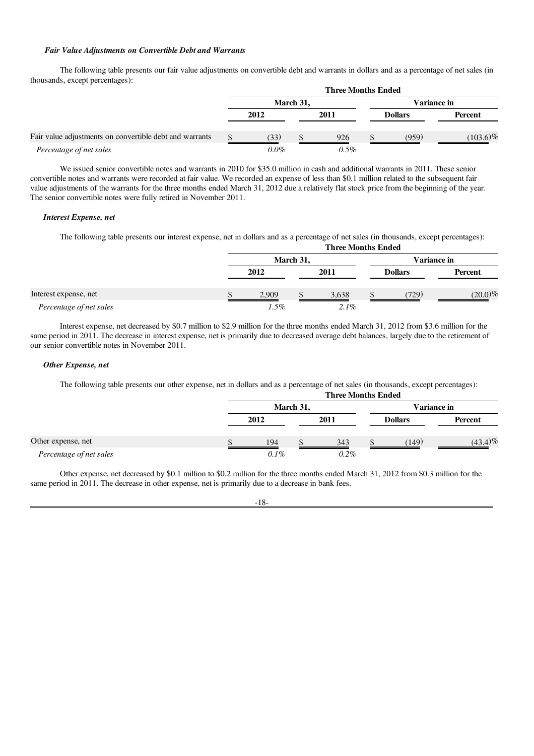## *Fair Value Adjustments on Convertible Debt and Warrants*

The following table presents our fair value adjustments on convertible debt and warrants in dollars and as a percentage of net sales (in thousands, except percentages):

|                                                         | <b>Three Months Ended</b> |         |      |      |             |       |             |  |  |
|---------------------------------------------------------|---------------------------|---------|------|------|-------------|-------|-------------|--|--|
|                                                         | March 31,                 |         |      |      | Variance in |       |             |  |  |
|                                                         | 2012                      |         | 2011 |      | Dollars     |       | Percent     |  |  |
| Fair value adjustments on convertible debt and warrants |                           | (33)    |      | 926  |             | (959) | $(103.6)\%$ |  |  |
| Percentage of net sales                                 |                           | $0.0\%$ |      | 0.5% |             |       |             |  |  |

We issued senior convertible notes and warrants in 2010 for \$35.0 million in cash and additional warrants in 2011. These senior convertible notes and warrants were recorded at fair value. We recorded an expense of less than \$0.1 million related to the subsequent fair value adjustments of the warrants for the three months ended March 31, 2012 due a relatively flat stock price from the beginning of the year. The senior convertible notes were fully retired in November 2011.

## *Interest Expense, net*

The following table presents our interest expense, net in dollars and as a percentage of net sales (in thousands, except percentages): The Months Ended Months Ended The Terms Ended Months Ended The Terms Ended Months Ended Months Ended Months Ended Months Ended Months Ended Months Ended Months Ended Months Ended Months Ended Months Ended Months Ended Mont

|                         | Three Months Ended |  |       |                |                    |            |  |  |
|-------------------------|--------------------|--|-------|----------------|--------------------|------------|--|--|
|                         | March 31,          |  |       |                | <b>Variance in</b> |            |  |  |
|                         | 2012               |  | 2011  | <b>Dollars</b> |                    | Percent    |  |  |
| Interest expense, net   | 2.909              |  | 3.638 |                | (729)              | $(20.0)\%$ |  |  |
| Percentage of net sales | 1.5%               |  | 2.1%  |                |                    |            |  |  |

Interest expense, net decreased by \$0.7 million to \$2.9 million for the three months ended March 31, 2012 from \$3.6 million for the same period in 2011. The decrease in interest expense, net is primarily due to decreased average debt balances, largely due to the retirement of our senior convertible notes in November 2011.

### *Other Expense, net*

The following table presents our other expense, net in dollars and as a percentage of net sales (in thousands, except percentages):

|                         | <b>Three Months Ended</b> |      |      |                |             |            |  |  |  |
|-------------------------|---------------------------|------|------|----------------|-------------|------------|--|--|--|
|                         | March 31,                 |      |      |                | Variance in |            |  |  |  |
|                         | 2012                      | 2011 |      | <b>Dollars</b> |             | Percent    |  |  |  |
| Other expense, net      | 194                       |      | 343  |                | (149)       | $(43.4)\%$ |  |  |  |
| Percentage of net sales | 0.1%                      |      | 0.2% |                |             |            |  |  |  |

Other expense, net decreased by \$0.1 million to \$0.2 million for the three months ended March 31, 2012 from \$0.3 million for the same period in 2011. The decrease in other expense, net is primarily due to a decrease in bank fees.

-18-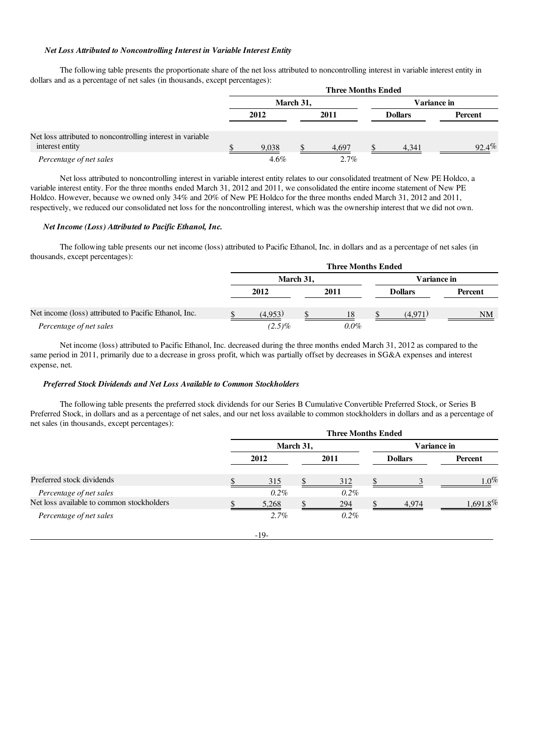### *Net Loss Attributed to Noncontrolling Interest in Variable Interest Entity*

The following table presents the proportionate share of the net loss attributed to noncontrolling interest in variable interest entity in dollars and as a percentage of net sales (in thousands, except percentages):

|                                                                               | <b>Three Months Ended</b> |       |  |               |                    |                |         |  |  |
|-------------------------------------------------------------------------------|---------------------------|-------|--|---------------|--------------------|----------------|---------|--|--|
|                                                                               | March 31,                 |       |  |               | <b>Variance in</b> |                |         |  |  |
|                                                                               |                           | 2012  |  | 2011          |                    | <b>Dollars</b> | Percent |  |  |
| Net loss attributed to noncontrolling interest in variable<br>interest entity |                           | 9.038 |  |               |                    |                | 92.4%   |  |  |
| Percentage of net sales                                                       |                           | 4.6%  |  | 4.697<br>2.7% |                    | 4.341          |         |  |  |

Net loss attributed to noncontrolling interest in variable interest entity relates to our consolidated treatment of New PE Holdco, a variable interest entity. For the three months ended March 31, 2012 and 2011, we consolidated the entire income statement of New PE Holdco. However, because we owned only 34% and 20% of New PE Holdco for the three months ended March 31, 2012 and 2011, respectively, we reduced our consolidated net loss for the noncontrolling interest, which was the ownership interest that we did not own.

#### *Net Income (Loss) Attributed to Pacific Ethanol, Inc.*

The following table presents our net income (loss) attributed to Pacific Ethanol, Inc. in dollars and as a percentage of net sales (in thousands, except percentages):

|                                                       | <b>Three Months Ended</b> |  |         |  |                |                |  |
|-------------------------------------------------------|---------------------------|--|---------|--|----------------|----------------|--|
|                                                       | March 31,<br>Variance in  |  |         |  |                |                |  |
|                                                       | 2012                      |  | 2011    |  | <b>Dollars</b> | <b>Percent</b> |  |
| Net income (loss) attributed to Pacific Ethanol, Inc. | (4.953)                   |  | 18      |  | (4.971)        | NΜ             |  |
| Percentage of net sales                               | $(2.5)\%$                 |  | $0.0\%$ |  |                |                |  |

Net income (loss) attributed to Pacific Ethanol, Inc. decreased during the three months ended March 31, 2012 as compared to the same period in 2011, primarily due to a decrease in gross profit, which was partially offset by decreases in SG&A expenses and interest expense, net.

#### *Preferred Stock Dividends and Net Loss Available to Common Stockholders*

The following table presents the preferred stock dividends for our Series B Cumulative Convertible Preferred Stock, or Series B Preferred Stock, in dollars and as a percentage of net sales, and our net loss available to common stockholders in dollars and as a percentage of net sales (in thousands, except percentages): Three Months Ended

|                                           |              | Three Months Ended |  |                |  |                    |          |  |  |
|-------------------------------------------|--------------|--------------------|--|----------------|--|--------------------|----------|--|--|
|                                           | March 31,    |                    |  |                |  | <b>Variance in</b> |          |  |  |
|                                           | 2011<br>2012 |                    |  | <b>Dollars</b> |  | Percent            |          |  |  |
| Preferred stock dividends                 |              | 315                |  | 312            |  |                    | $1.0\%$  |  |  |
| Percentage of net sales                   |              | $0.2\%$            |  | $0.2\%$        |  |                    |          |  |  |
| Net loss available to common stockholders |              | 5,268              |  | 294            |  | 4.974              | 1,691.8% |  |  |
| Percentage of net sales                   |              | 2.7%               |  | $0.2\%$        |  |                    |          |  |  |
|                                           |              | $-19-$             |  |                |  |                    |          |  |  |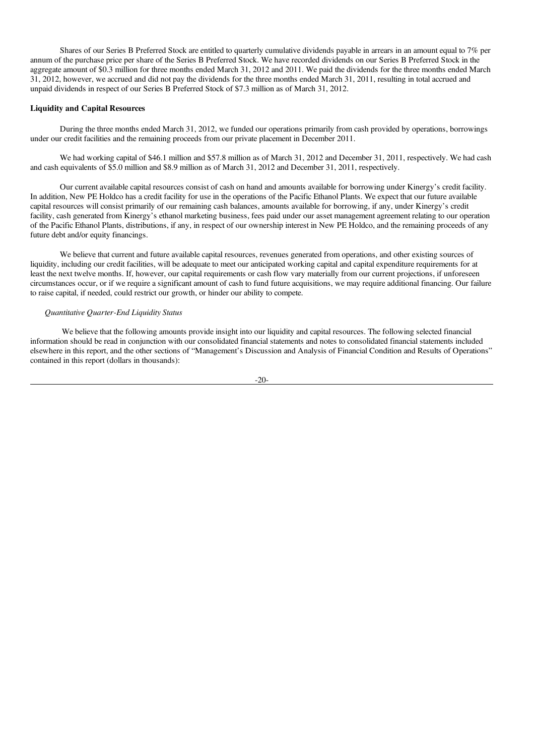Shares of our Series B Preferred Stock are entitled to quarterly cumulative dividends payable in arrears in an amount equal to 7% per annum of the purchase price per share of the Series B Preferred Stock. We have recorded dividends on our Series B Preferred Stock in the aggregate amount of \$0.3 million for three months ended March 31, 2012 and 2011. We paid the dividends for the three months ended March 31, 2012, however, we accrued and did not pay the dividends for the three months ended March 31, 2011, resulting in total accrued and unpaid dividends in respect of our Series B Preferred Stock of \$7.3 million as of March 31, 2012.

#### Liquidity and Capital Resources

During the three months ended March 31, 2012, we funded our operations primarily from cash provided by operations, borrowings under our credit facilities and the remaining proceeds from our private placement in December 2011.

We had working capital of \$46.1 million and \$57.8 million as of March 31, 2012 and December 31, 2011, respectively. We had cash and cash equivalents of \$5.0 million and \$8.9 million as of March 31, 2012 and December 31, 2011, respectively.

Our current available capital resources consist of cash on hand and amounts available for borrowing under Kinergy's credit facility. In addition, New PE Holdco has a credit facility for use in the operations of the Pacific Ethanol Plants. We expect that our future available capital resources will consist primarily of our remaining cash balances, amounts available for borrowing, if any, under Kinergy's credit facility, cash generated from Kinergy's ethanol marketing business, fees paid under our asset management agreement relating to our operation of the Pacific Ethanol Plants, distributions, if any, in respect of our ownership interest in New PE Holdco, and the remaining proceeds of any future debt and/or equity financings.

We believe that current and future available capital resources, revenues generated from operations, and other existing sources of liquidity, including our credit facilities, will be adequate to meet our anticipated working capital and capital expenditure requirements for at least the next twelve months. If, however, our capital requirements or cash flow vary materially from our current projections, if unforeseen circumstances occur, or if we require a significant amount of cash to fund future acquisitions, we may require additional financing. Our failure to raise capital, if needed, could restrict our growth, or hinder our ability to compete.

#### *Quantitative Quarter-End Liquidity Status*

We believe that the following amounts provide insight into our liquidity and capital resources. The following selected financial information should be read in conjunction with our consolidated financial statements and notes to consolidated financial statements included elsewhere in this report, and the other sections of "Management's Discussion and Analysis of Financial Condition and Results of Operations" contained in this report (dollars in thousands):

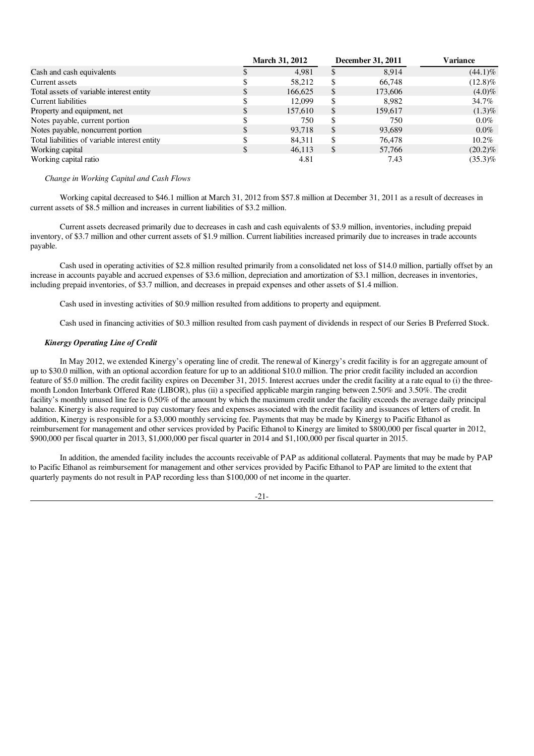|                                               | <b>March 31, 2012</b> |         |               | December 31, 2011 | Variance   |  |
|-----------------------------------------------|-----------------------|---------|---------------|-------------------|------------|--|
| Cash and cash equivalents                     |                       | 4.981   | S             | 8.914             | $(44.1)\%$ |  |
| Current assets                                |                       | 58,212  | S             | 66,748            | $(12.8)\%$ |  |
| Total assets of variable interest entity      | S                     | 166.625 | <sup>\$</sup> | 173,606           | $(4.0)\%$  |  |
| <b>Current liabilities</b>                    | J                     | 12.099  | \$            | 8,982             | 34.7%      |  |
| Property and equipment, net                   | S                     | 157,610 | \$            | 159,617           | $(1.3)\%$  |  |
| Notes payable, current portion                |                       | 750     | \$            | 750               | $0.0\%$    |  |
| Notes payable, noncurrent portion             | \$                    | 93.718  | \$            | 93,689            | $0.0\%$    |  |
| Total liabilities of variable interest entity |                       | 84,311  | <sup>\$</sup> | 76,478            | $10.2\%$   |  |
| Working capital                               | S                     | 46,113  | \$            | 57,766            | $(20.2)\%$ |  |
| Working capital ratio                         |                       | 4.81    |               | 7.43              | $(35.3)\%$ |  |

#### *Change in Working Capital and Cash Flows*

Working capital decreased to \$46.1 million at March 31, 2012 from \$57.8 million at December 31, 2011 as a result of decreases in current assets of \$8.5 million and increases in current liabilities of \$3.2 million.

Current assets decreased primarily due to decreases in cash and cash equivalents of \$3.9 million, inventories, including prepaid inventory, of \$3.7 million and other current assets of \$1.9 million. Current liabilities increased primarily due to increases in trade accounts payable.

Cash used in operating activities of \$2.8 million resulted primarily from a consolidated net loss of \$14.0 million, partially offset by an increase in accounts payable and accrued expenses of \$3.6 million, depreciation and amortization of \$3.1 million, decreases in inventories, including prepaid inventories, of \$3.7 million, and decreases in prepaid expenses and other assets of \$1.4 million.

Cash used in investing activities of \$0.9 million resulted from additions to property and equipment.

Cash used in financing activities of \$0.3 million resulted from cash payment of dividends in respect of our Series B Preferred Stock.

#### *Kinergy Operating Line of Credit*

In May 2012, we extended Kinergy's operating line of credit. The renewal of Kinergy's credit facility is for an aggregate amount of up to \$30.0 million, with an optional accordion feature for up to an additional \$10.0 million. The prior credit facility included an accordion feature of \$5.0 million. The credit facility expires on December 31, 2015. Interest accrues under the credit facility at a rate equal to (i) the threemonth London Interbank Offered Rate (LIBOR), plus (ii) a specified applicable margin ranging between 2.50% and 3.50%. The credit facility's monthly unused line fee is 0.50% of the amount by which the maximum credit under the facility exceeds the average daily principal balance. Kinergy is also required to pay customary fees and expenses associated with the credit facility and issuances of letters of credit. In addition, Kinergy is responsible for a \$3,000 monthly servicing fee. Payments that may be made by Kinergy to Pacific Ethanol as reimbursement for management and other services provided by Pacific Ethanol to Kinergy are limited to \$800,000 per fiscal quarter in 2012, \$900,000 per fiscal quarter in 2013, \$1,000,000 per fiscal quarter in 2014 and \$1,100,000 per fiscal quarter in 2015.

In addition, the amended facility includes the accounts receivable of PAP as additional collateral. Payments that may be made by PAP to Pacific Ethanol as reimbursement for management and other services provided by Pacific Ethanol to PAP are limited to the extent that quarterly payments do not result in PAP recording less than \$100,000 of net income in the quarter.

-21-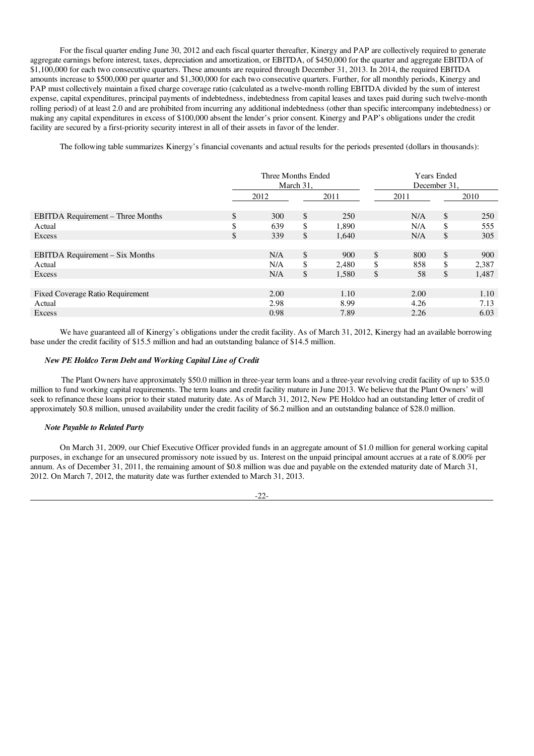For the fiscal quarter ending June 30, 2012 and each fiscal quarter thereafter, Kinergy and PAP are collectively required to generate aggregate earnings before interest, taxes, depreciation and amortization, or EBITDA, of \$450,000 for the quarter and aggregate EBITDA of \$1,100,000 for each two consecutive quarters. These amounts are required through December 31, 2013. In 2014, the required EBITDA amounts increase to \$500,000 per quarter and \$1,300,000 for each two consecutive quarters. Further, for all monthly periods, Kinergy and PAP must collectively maintain a fixed charge coverage ratio (calculated as a twelve-month rolling EBITDA divided by the sum of interest expense, capital expenditures, principal payments of indebtedness, indebtedness from capital leases and taxes paid during such twelve-month rolling period) of at least 2.0 and are prohibited from incurring any additional indebtedness (other than specific intercompany indebtedness) or making any capital expenditures in excess of \$100,000 absent the lender's prior consent. Kinergy and PAP's obligations under the credit facility are secured by a first-priority security interest in all of their assets in favor of the lender.

The following table summarizes Kinergy's financial covenants and actual results for the periods presented (dollars in thousands):

| Three Months Ended<br>March 31, |      |      |       |      | <b>Years Ended</b><br>December 31. |      |       |  |
|---------------------------------|------|------|-------|------|------------------------------------|------|-------|--|
|                                 |      | 2011 |       | 2011 |                                    | 2010 |       |  |
| \$                              | 300  | \$   | 250   |      | N/A                                | \$   | 250   |  |
| \$                              | 639  | \$   | 1,890 |      | N/A                                | \$   | 555   |  |
| \$                              | 339  | \$   | 1,640 |      | N/A                                | \$   | 305   |  |
|                                 |      |      |       |      |                                    |      |       |  |
|                                 | N/A  | \$   | 900   | \$   | 800                                | \$   | 900   |  |
|                                 | N/A  | \$   | 2,480 | \$   | 858                                | \$   | 2,387 |  |
|                                 | N/A  | \$   | 1,580 | \$   | 58                                 | \$   | 1,487 |  |
|                                 |      |      |       |      |                                    |      |       |  |
|                                 | 2.00 |      | 1.10  |      | 2.00                               |      | 1.10  |  |
|                                 | 2.98 |      | 8.99  |      | 4.26                               |      | 7.13  |  |
|                                 | 0.98 |      | 7.89  |      | 2.26                               |      | 6.03  |  |
|                                 |      | 2012 |       |      |                                    |      |       |  |

We have guaranteed all of Kinergy's obligations under the credit facility. As of March 31, 2012, Kinergy had an available borrowing base under the credit facility of \$15.5 million and had an outstanding balance of \$14.5 million.

## *New PE Holdco Term Debt and Working Capital Line of Credit*

The Plant Owners have approximately \$50.0 million in three-year term loans and a three-year revolving credit facility of up to \$35.0 million to fund working capital requirements. The term loans and credit facility mature in June 2013. We believe that the Plant Owners' will seek to refinance these loans prior to their stated maturity date. As of March 31, 2012, New PE Holdco had an outstanding letter of credit of approximately \$0.8 million, unused availability under the credit facility of \$6.2 million and an outstanding balance of \$28.0 million.

#### *Note Payable to Related Party*

On March 31, 2009, our Chief Executive Officer provided funds in an aggregate amount of \$1.0 million for general working capital purposes, in exchange for an unsecured promissory note issued by us. Interest on the unpaid principal amount accrues at a rate of 8.00% per annum. As of December 31, 2011, the remaining amount of \$0.8 million was due and payable on the extended maturity date of March 31, 2012. On March 7, 2012, the maturity date was further extended to March 31, 2013.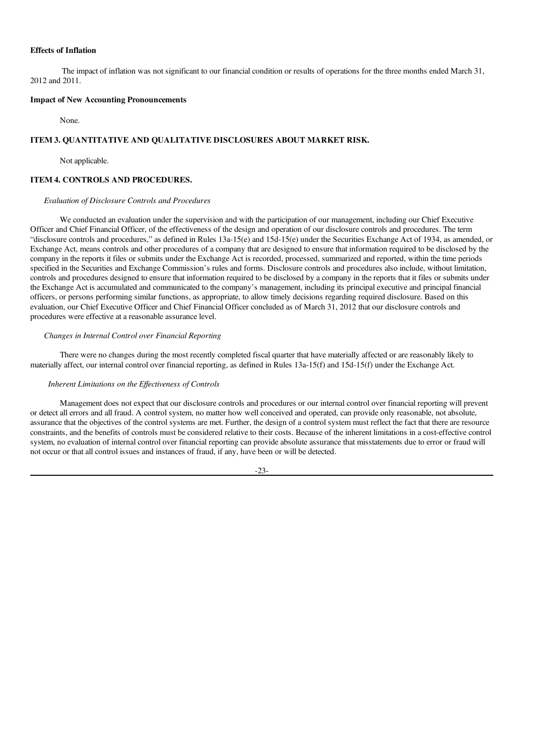#### Effects of Inflation

The impact of inflation was not significant to our financial condition or results of operations for the three months ended March 31, 2012 and 2011.

#### Impact of New Accounting Pronouncements

None.

# ITEM 3. QUANTITATIVE AND QUALITATIVE DISCLOSURES ABOUT MARKET RISK.

Not applicable.

## ITEM 4. CONTROLS AND PROCEDURES.

#### *Evaluation of Disclosure Controls and Procedures*

We conducted an evaluation under the supervision and with the participation of our management, including our Chief Executive Officer and Chief Financial Officer, of the effectiveness of the design and operation of our disclosure controls and procedures. The term "disclosure controls and procedures," as defined in Rules 13a-15(e) and 15d-15(e) under the Securities Exchange Act of 1934, as amended, or Exchange Act, means controls and other procedures of a company that are designed to ensure that information required to be disclosed by the company in the reports it files or submits under the Exchange Act is recorded, processed, summarized and reported, within the time periods specified in the Securities and Exchange Commission's rules and forms. Disclosure controls and procedures also include, without limitation, controls and procedures designed to ensure that information required to be disclosed by a company in the reports that it files or submits under the Exchange Act is accumulated and communicated to the company's management, including its principal executive and principal financial officers, or persons performing similar functions, as appropriate, to allow timely decisions regarding required disclosure. Based on this evaluation, our Chief Executive Officer and Chief Financial Officer concluded as of March 31, 2012 that our disclosure controls and procedures were effective at a reasonable assurance level.

#### *Changes in Internal Control over Financial Reporting*

There were no changes during the most recently completed fiscal quarter that have materially affected or are reasonably likely to materially affect, our internal control over financial reporting, as defined in Rules 13a-15(f) and 15d-15(f) under the Exchange Act.

## *Inherent Limitations on the Ef ectiveness of Controls*

Management does not expect that our disclosure controls and procedures or our internal control over financial reporting will prevent or detect all errors and all fraud. A control system, no matter how well conceived and operated, can provide only reasonable, not absolute, assurance that the objectives of the control systems are met. Further, the design of a control system must reflect the fact that there are resource constraints, and the benefits of controls must be considered relative to their costs. Because of the inherent limitations in a cost-effective control system, no evaluation of internal control over financial reporting can provide absolute assurance that misstatements due to error or fraud will not occur or that all control issues and instances of fraud, if any, have been or will be detected.

-23-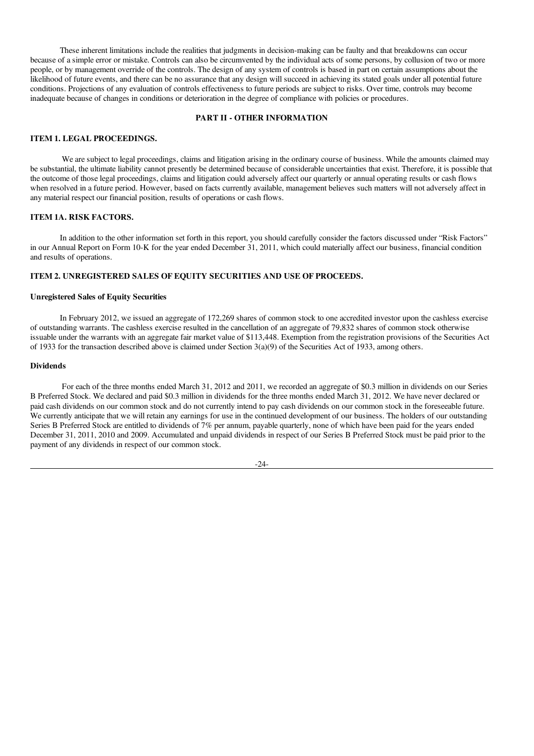These inherent limitations include the realities that judgments in decision-making can be faulty and that breakdowns can occur because of a simple error or mistake. Controls can also be circumvented by the individual acts of some persons, by collusion of two or more people, or by management override of the controls. The design of any system of controls is based in part on certain assumptions about the likelihood of future events, and there can be no assurance that any design will succeed in achieving its stated goals under all potential future conditions. Projections of any evaluation of controls effectiveness to future periods are subject to risks. Over time, controls may become inadequate because of changes in conditions or deterioration in the degree of compliance with policies or procedures.

## PART II - OTHER INFORMATION

#### ITEM 1. LEGAL PROCEEDINGS.

We are subject to legal proceedings, claims and litigation arising in the ordinary course of business. While the amounts claimed may be substantial, the ultimate liability cannot presently be determined because of considerable uncertainties that exist. Therefore, it is possible that the outcome of those legal proceedings, claims and litigation could adversely affect our quarterly or annual operating results or cash flows when resolved in a future period. However, based on facts currently available, management believes such matters will not adversely affect in any material respect our financial position, results of operations or cash flows.

#### ITEM 1A. RISK FACTORS.

In addition to the other information set forth in this report, you should carefully consider the factors discussed under "Risk Factors" in our Annual Report on Form 10-K for the year ended December 31, 2011, which could materially affect our business, financial condition and results of operations.

### ITEM 2. UNREGISTERED SALES OF EQUITY SECURITIES AND USE OF PROCEEDS.

#### Unregistered Sales of Equity Securities

In February 2012, we issued an aggregate of 172,269 shares of common stock to one accredited investor upon the cashless exercise of outstanding warrants. The cashless exercise resulted in the cancellation of an aggregate of 79,832 shares of common stock otherwise issuable under the warrants with an aggregate fair market value of \$113,448. Exemption from the registration provisions of the Securities Act of 1933 for the transaction described above is claimed under Section  $3(a)(9)$  of the Securities Act of 1933, among others.

#### **Dividends**

For each of the three months ended March 31, 2012 and 2011, we recorded an aggregate of \$0.3 million in dividends on our Series B Preferred Stock. We declared and paid \$0.3 million in dividends for the three months ended March 31, 2012. We have never declared or paid cash dividends on our common stock and do not currently intend to pay cash dividends on our common stock in the foreseeable future. We currently anticipate that we will retain any earnings for use in the continued development of our business. The holders of our outstanding Series B Preferred Stock are entitled to dividends of 7% per annum, payable quarterly, none of which have been paid for the years ended December 31, 2011, 2010 and 2009. Accumulated and unpaid dividends in respect of our Series B Preferred Stock must be paid prior to the payment of any dividends in respect of our common stock.

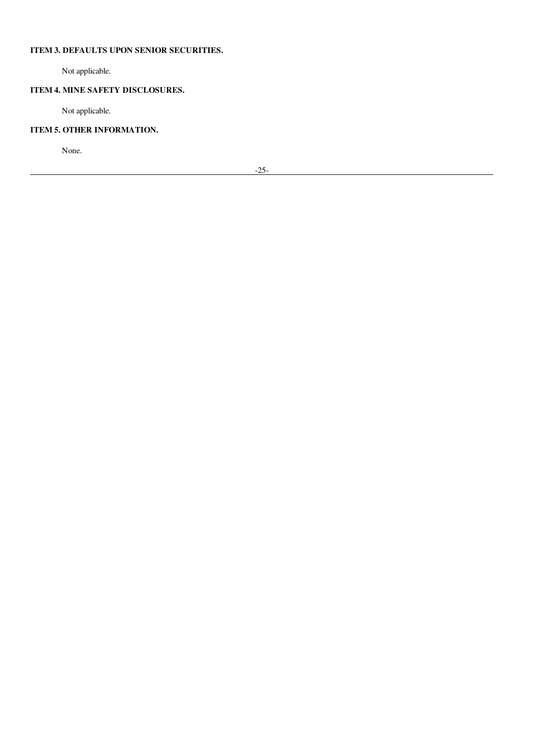# ITEM 3. DEFAULTS UPON SENIOR SECURITIES.

Not applicable.

# ITEM 4. MINE SAFETY DISCLOSURES.

Not applicable.

# ITEM 5. OTHER INFORMATION.

None.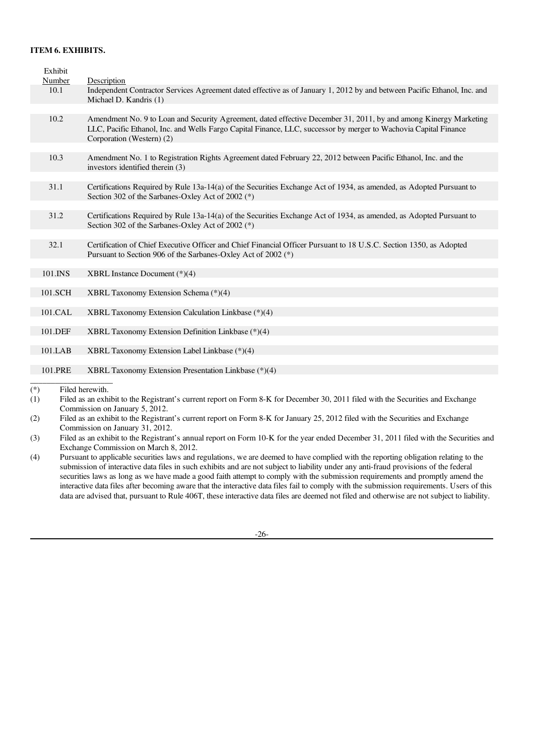## ITEM 6. EXHIBITS.

|              | Exhibit         |                                                                                                                                                                                                                                                                    |
|--------------|-----------------|--------------------------------------------------------------------------------------------------------------------------------------------------------------------------------------------------------------------------------------------------------------------|
|              | Number<br>10.1  | Description<br>Independent Contractor Services Agreement dated effective as of January 1, 2012 by and between Pacific Ethanol, Inc. and<br>Michael D. Kandris (1)                                                                                                  |
|              | 10.2            | Amendment No. 9 to Loan and Security Agreement, dated effective December 31, 2011, by and among Kinergy Marketing<br>LLC, Pacific Ethanol, Inc. and Wells Fargo Capital Finance, LLC, successor by merger to Wachovia Capital Finance<br>Corporation (Western) (2) |
|              | 10.3            | Amendment No. 1 to Registration Rights Agreement dated February 22, 2012 between Pacific Ethanol, Inc. and the<br>investors identified therein (3)                                                                                                                 |
|              | 31.1            | Certifications Required by Rule 13a-14(a) of the Securities Exchange Act of 1934, as amended, as Adopted Pursuant to<br>Section 302 of the Sarbanes-Oxley Act of 2002 (*)                                                                                          |
|              | 31.2            | Certifications Required by Rule 13a-14(a) of the Securities Exchange Act of 1934, as amended, as Adopted Pursuant to<br>Section 302 of the Sarbanes-Oxley Act of 2002 (*)                                                                                          |
|              | 32.1            | Certification of Chief Executive Officer and Chief Financial Officer Pursuant to 18 U.S.C. Section 1350, as Adopted<br>Pursuant to Section 906 of the Sarbanes-Oxley Act of 2002 (*)                                                                               |
|              | 101.INS         | <b>XBRL</b> Instance Document $(*)(4)$                                                                                                                                                                                                                             |
|              | 101.SCH         | XBRL Taxonomy Extension Schema (*)(4)                                                                                                                                                                                                                              |
|              | 101.CAL         | XBRL Taxonomy Extension Calculation Linkbase (*)(4)                                                                                                                                                                                                                |
|              | 101.DEF         | XBRL Taxonomy Extension Definition Linkbase (*)(4)                                                                                                                                                                                                                 |
|              | 101.LAB         | XBRL Taxonomy Extension Label Linkbase (*)(4)                                                                                                                                                                                                                      |
|              | 101.PRE         | XBRL Taxonomy Extension Presentation Linkbase (*)(4)                                                                                                                                                                                                               |
| $(*)$<br>(1) | Filed herewith. | Filed as an exhibit to the Registrant's current report on Form 8-K for December 30, 2011 filed with the Securities and Exchange<br>Commission on January 5, 2012.                                                                                                  |
| (2)          |                 | Filed as an exhibit to the Registrant's current report on Form 8-K for January 25, 2012 filed with the Securities and Exchange<br>Commission on January 31, 2012.                                                                                                  |

(3) Filed as an exhibit to the Registrant's annual report on Form 10-K for the year ended December 31, 2011 filed with the Securities and Exchange Commission on March 8, 2012.

(4) Pursuant to applicable securities laws and regulations, we are deemed to have complied with the reporting obligation relating to the submission of interactive data files in such exhibits and are not subject to liability under any anti-fraud provisions of the federal securities laws as long as we have made a good faith attempt to comply with the submission requirements and promptly amend the interactive data files after becoming aware that the interactive data files fail to comply with the submission requirements. Users of this data are advised that, pursuant to Rule 406T, these interactive data files are deemed not filed and otherwise are not subject to liability.

-26-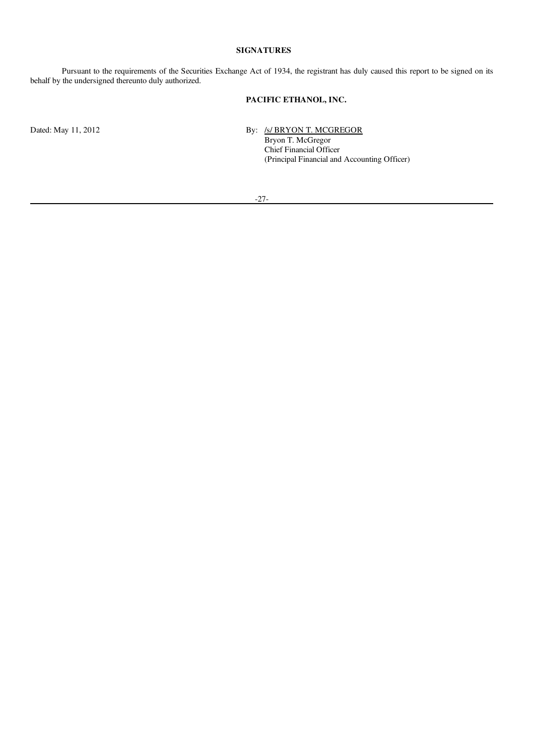## SIGNATURES

Pursuant to the requirements of the Securities Exchange Act of 1934, the registrant has duly caused this report to be signed on its behalf by the undersigned thereunto duly authorized.

# PACIFIC ETHANOL, INC.

Dated: May 11, 2012 By: /s/ BRYON T. MCGREGOR Bryon T. McGregor

Chief Financial Officer (Principal Financial and Accounting Officer)

-27-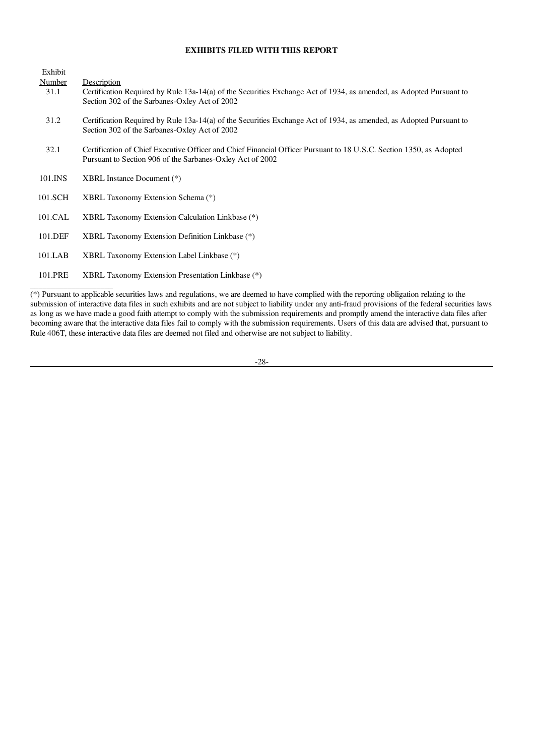## EXHIBITS FILED WITH THIS REPORT

| Exhibit |                                                                                                                     |
|---------|---------------------------------------------------------------------------------------------------------------------|
| Number  | Description                                                                                                         |
| 31.1    | Certification Required by Rule 13a-14(a) of the Securities Exchange Act of 1934, as amended, as Adopted Pursuant to |
|         | Section 302 of the Sarbanes-Oxley Act of 2002                                                                       |
| 31.2    | Certification Required by Rule 13a-14(a) of the Securities Exchange Act of 1934, as amended, as Adopted Pursuant to |
|         | Section 302 of the Sarbanes-Oxley Act of 2002                                                                       |
| 32.1    | Certification of Chief Executive Officer and Chief Financial Officer Pursuant to 18 U.S.C. Section 1350, as Adopted |
|         | Pursuant to Section 906 of the Sarbanes-Oxley Act of 2002                                                           |
|         |                                                                                                                     |
| 101.INS | XBRL Instance Document (*)                                                                                          |
| 101.SCH | XBRL Taxonomy Extension Schema (*)                                                                                  |
|         |                                                                                                                     |
| 101.CAL | XBRL Taxonomy Extension Calculation Linkbase (*)                                                                    |
| 101.DEF | XBRL Taxonomy Extension Definition Linkbase (*)                                                                     |
|         |                                                                                                                     |
| 101.LAB | XBRL Taxonomy Extension Label Linkbase (*)                                                                          |
| 101.PRE | XBRL Taxonomy Extension Presentation Linkbase (*)                                                                   |
|         |                                                                                                                     |

(\*) Pursuant to applicable securities laws and regulations, we are deemed to have complied with the reporting obligation relating to the submission of interactive data files in such exhibits and are not subject to liability under any anti-fraud provisions of the federal securities laws as long as we have made a good faith attempt to comply with the submission requirements and promptly amend the interactive data files after becoming aware that the interactive data files fail to comply with the submission requirements. Users of this data are advised that, pursuant to Rule 406T, these interactive data files are deemed not filed and otherwise are not subject to liability.

-28-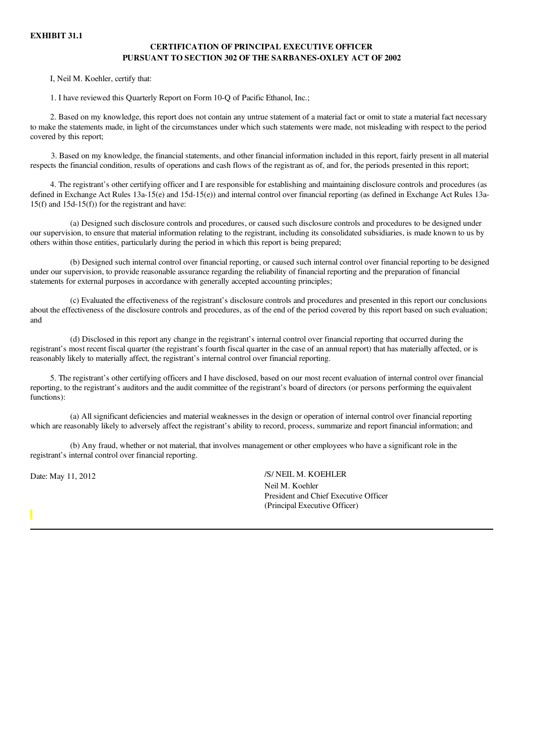# CERTIFICATION OF PRINCIPAL EXECUTIVE OFFICER PURSUANT TO SECTION 302 OF THE SARBANES-OXLEY ACT OF 2002

I, Neil M. Koehler, certify that:

1. I have reviewed this Quarterly Report on Form 10-Q of Pacific Ethanol, Inc.;

2. Based on my knowledge, this report does not contain any untrue statement of a material fact or omit to state a material fact necessary to make the statements made, in light of the circumstances under which such statements were made, not misleading with respect to the period covered by this report;

3. Based on my knowledge, the financial statements, and other financial information included in this report, fairly present in all material respects the financial condition, results of operations and cash flows of the registrant as of, and for, the periods presented in this report;

4. The registrant's other certifying officer and I are responsible for establishing and maintaining disclosure controls and procedures (as defined in Exchange Act Rules 13a-15(e) and 15d-15(e)) and internal control over financial reporting (as defined in Exchange Act Rules 13a- $15(f)$  and  $15d-15(f)$  for the registrant and have:

(a) Designed such disclosure controls and procedures, or caused such disclosure controls and procedures to be designed under our supervision, to ensure that material information relating to the registrant, including its consolidated subsidiaries, is made known to us by others within those entities, particularly during the period in which this report is being prepared;

(b) Designed such internal control over financial reporting, or caused such internal control over financial reporting to be designed under our supervision, to provide reasonable assurance regarding the reliability of financial reporting and the preparation of financial statements for external purposes in accordance with generally accepted accounting principles;

(c) Evaluated the effectiveness of the registrant's disclosure controls and procedures and presented in this report our conclusions about the effectiveness of the disclosure controls and procedures, as of the end of the period covered by this report based on such evaluation; and

(d) Disclosed in this report any change in the registrant's internal control over financial reporting that occurred during the registrant's most recent fiscal quarter (the registrant's fourth fiscal quarter in the case of an annual report) that has materially affected, or is reasonably likely to materially affect, the registrant's internal control over financial reporting.

5. The registrant's other certifying officers and I have disclosed, based on our most recent evaluation of internal control over financial reporting, to the registrant's auditors and the audit committee of the registrant's board of directors (or persons performing the equivalent functions):

(a) All significant deficiencies and material weaknesses in the design or operation of internal control over financial reporting which are reasonably likely to adversely affect the registrant's ability to record, process, summarize and report financial information; and

(b) Any fraud, whether or not material, that involves management or other employees who have a significant role in the registrant's internal control over financial reporting.

Date: May 11, 2012

/S/ NEIL M. KOEHLER Neil M. Koehler President and Chief Executive Officer (Principal Executive Officer)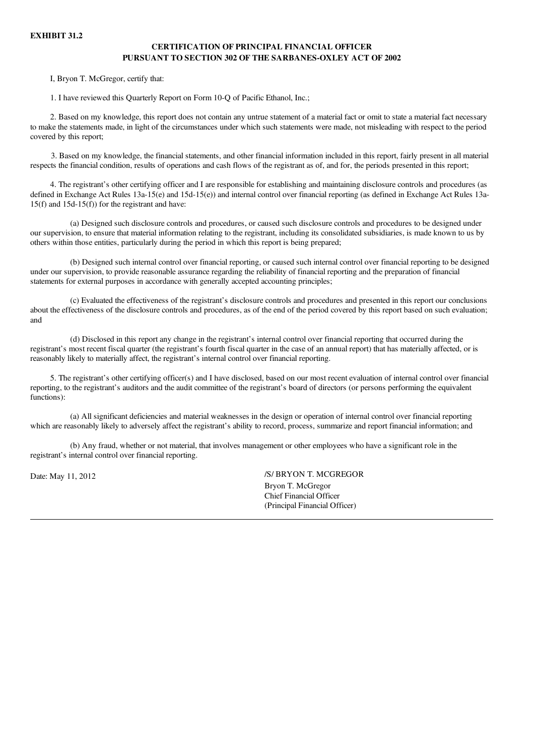# CERTIFICATION OF PRINCIPAL FINANCIAL OFFICER PURSUANT TO SECTION 302 OF THE SARBANES-OXLEY ACT OF 2002

I, Bryon T. McGregor, certify that:

1. I have reviewed this Quarterly Report on Form 10-Q of Pacific Ethanol, Inc.;

2. Based on my knowledge, this report does not contain any untrue statement of a material fact or omit to state a material fact necessary to make the statements made, in light of the circumstances under which such statements were made, not misleading with respect to the period covered by this report;

3. Based on my knowledge, the financial statements, and other financial information included in this report, fairly present in all material respects the financial condition, results of operations and cash flows of the registrant as of, and for, the periods presented in this report;

4. The registrant's other certifying officer and I are responsible for establishing and maintaining disclosure controls and procedures (as defined in Exchange Act Rules 13a-15(e) and 15d-15(e)) and internal control over financial reporting (as defined in Exchange Act Rules 13a- $15(f)$  and  $15d-15(f)$  for the registrant and have:

(a) Designed such disclosure controls and procedures, or caused such disclosure controls and procedures to be designed under our supervision, to ensure that material information relating to the registrant, including its consolidated subsidiaries, is made known to us by others within those entities, particularly during the period in which this report is being prepared;

(b) Designed such internal control over financial reporting, or caused such internal control over financial reporting to be designed under our supervision, to provide reasonable assurance regarding the reliability of financial reporting and the preparation of financial statements for external purposes in accordance with generally accepted accounting principles;

(c) Evaluated the effectiveness of the registrant's disclosure controls and procedures and presented in this report our conclusions about the effectiveness of the disclosure controls and procedures, as of the end of the period covered by this report based on such evaluation; and

(d) Disclosed in this report any change in the registrant's internal control over financial reporting that occurred during the registrant's most recent fiscal quarter (the registrant's fourth fiscal quarter in the case of an annual report) that has materially affected, or is reasonably likely to materially affect, the registrant's internal control over financial reporting.

5. The registrant's other certifying officer(s) and I have disclosed, based on our most recent evaluation of internal control over financial reporting, to the registrant's auditors and the audit committee of the registrant's board of directors (or persons performing the equivalent functions):

(a) All significant deficiencies and material weaknesses in the design or operation of internal control over financial reporting which are reasonably likely to adversely affect the registrant's ability to record, process, summarize and report financial information; and

(b) Any fraud, whether or not material, that involves management or other employees who have a significant role in the registrant's internal control over financial reporting.

Date: May 11, 2012

/S/ BRYON T. MCGREGOR Bryon T. McGregor Chief Financial Officer (Principal Financial Officer)